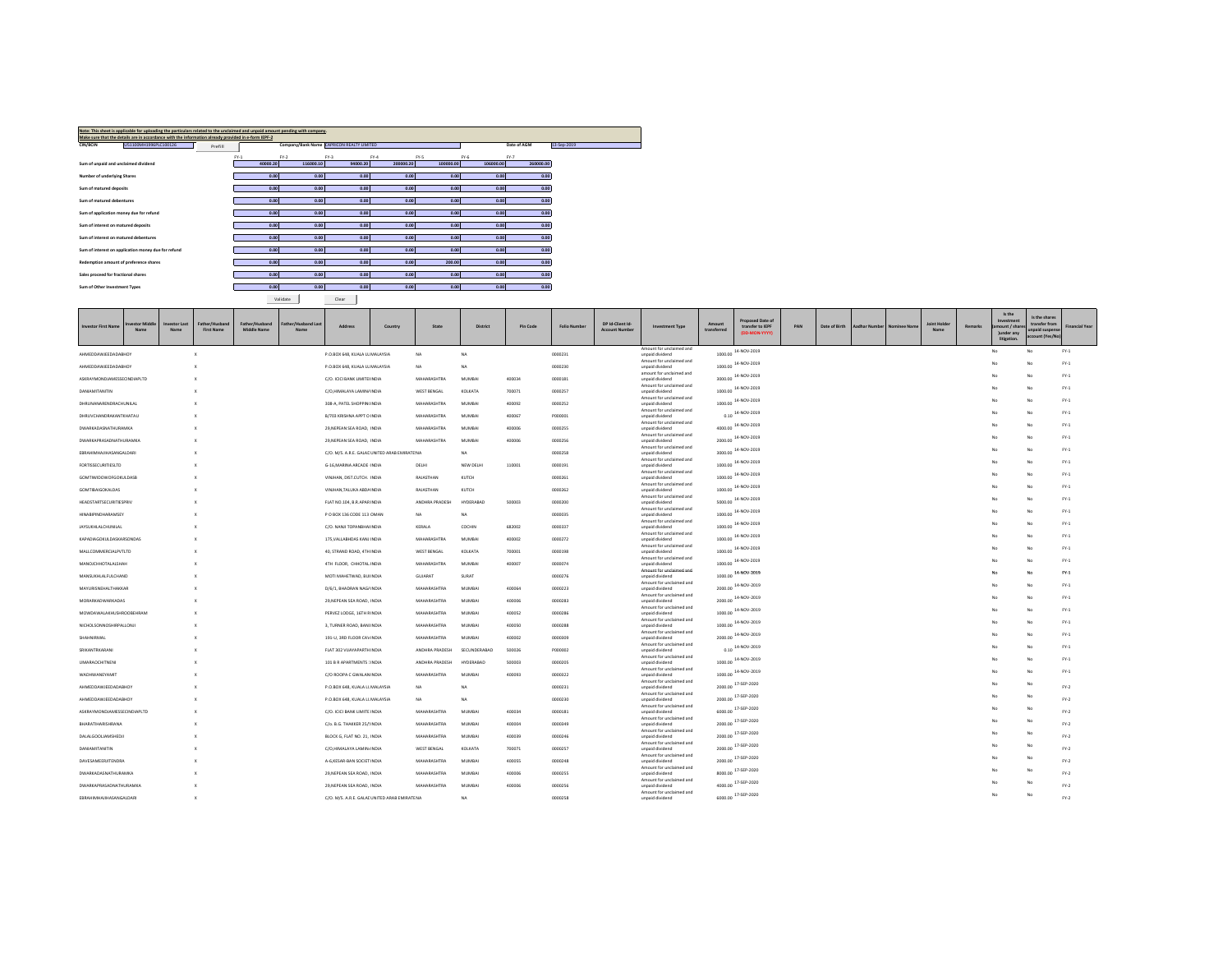| Note: This sheet is applicable for uploading the particulars related to the unclaimed and unpaid amount pending with company.<br>Make sure that the details are in accordance with the information already provided in e-form IEPF-2 |          |           |                                           |           |           |           |                            |
|--------------------------------------------------------------------------------------------------------------------------------------------------------------------------------------------------------------------------------------|----------|-----------|-------------------------------------------|-----------|-----------|-----------|----------------------------|
| U51100MH1996PLC100126<br>CIN/BCIN<br>Prefill                                                                                                                                                                                         |          |           | Company/Bank Name CAPRICON REALTY LIMITED |           |           |           | 13-Sep-2019<br>Date of AGM |
|                                                                                                                                                                                                                                      | $FY-1$   | $FY-2$    | $FY-3$                                    | $FY-4$    | FY-5      | $FY-6$    | $FY-7$                     |
| Sum of unpaid and unclaimed dividend                                                                                                                                                                                                 | 40000.20 | 116000.10 | 94000.20                                  | 200000.20 | 100000.00 | 106000.00 | 260000.00                  |
| Number of underlying Shares                                                                                                                                                                                                          | 0.00     | 0.00      | 0.00                                      | 0.00      | 0.00      | 0.00      | 0.00                       |
| Sum of matured deposits                                                                                                                                                                                                              | 0.00     | 0.00      | 0.00                                      | 0.00      | 0.00      | 0.00      | 0.00                       |
| Sum of matured debentures                                                                                                                                                                                                            | 0.00     | 0.00      | 0.00                                      | 0.00      | 0.00      | 0.00      | 0.00                       |
| Sum of application money due for refund                                                                                                                                                                                              | 0.00     | 0.00      | 0.00                                      | 0.00      | 0.00      | 0.00      | 0.00                       |
| Sum of interest on matured deposits                                                                                                                                                                                                  | 0.00     | 0.00      | 0.00                                      | 0.00      | 0.00      | 0.00      | 0.00                       |
| Sum of interest on matured dehentures                                                                                                                                                                                                | 0.00     | 0.00      | 0.00                                      | 0.00      | 0.00      | 0.00      | 0.00                       |
| Sum of interest on application money due for refund                                                                                                                                                                                  | 0.00     | 0.00      | 0.00                                      | 0.00      | 0.00      | 0.00      | 0.00                       |
| Redemption amount of preference shares                                                                                                                                                                                               | 0.00     | 0.00      | 0.00                                      | 0.00      | 200.00    | 0.00      | 0.00                       |
| Sales proceed for fractional shares                                                                                                                                                                                                  | 0.00     | 0.00      | 0.00                                      | 0.00      | 0.00      | 0.00      | 0.00                       |
| Sum of Other Investment Types                                                                                                                                                                                                        | 0.00     | 0.00      | 0.00                                      | 0.00      | 0.00      | 0.00      | 0.00                       |
|                                                                                                                                                                                                                                      |          | Validate  | Clear                                     |           |           |           |                            |

| Is the<br>Is the share:<br>Proposed Date of<br>Investment<br>DP Id-Client Id-<br><b>Investor Las</b><br>Father/Husban<br>Father/Husband<br>ther/Husband Las<br><b>Joint Holde</b><br>transfer from<br>State<br><b>Investor First Name</b><br>Address<br>Country<br><b>District</b><br>Pin Code<br><b>Folio Number</b><br><b>Investment Type</b><br>transfer to IEPF<br>PAN<br>Date of Birth<br><b>Aadhar Number</b><br>Remarks<br>ount / shar<br><b>Financial Year</b><br>Nominee Nam<br><b>Middle Name</b><br><b>Account Number</b><br>transferred<br><b>First Name</b><br>Name<br>Name<br>Name<br>Name<br>unpaid suspen<br>(DD-MON-YYYY)<br>Junder any<br>account (Yes/N<br>litigation.<br>Amount for unclaimed and<br>14-NOV-2019<br>$FY-1$<br>No<br>No<br>AHMEDDAWJEEDADABHOY<br>P.O.BOX 648, KUALA LUMALAYSIA<br><b>NA</b><br>NA<br>0000231<br>1000.00<br>$\mathbf{x}$<br>unpaid dividend<br>Amount for unclaimed and<br>$FY-1$<br>14-NOV-2019<br>No<br>No<br>AHMEDDAWJEEDADABHOY<br>P.O.BOX 648, KUALA LUMALAYSIA<br>NA.<br>NA<br>0000230<br>unpaid dividend<br>1000.00<br>X<br>amount for unclaimed and<br>$FY-1$<br>14-NOV-2019<br>No<br>ASKRAYMONDJAMESSECINDIAPLTD<br>C/O. ICICI BANK LIMITELINDIA<br>MAHARASHTRA<br>MUMBAI<br>400034<br>0000181<br>unpaid dividend<br>3000.00<br>Amount for unclaimed and<br>$FY-1$<br>14-NOV-2019<br>No<br>C/O,HIMALAYA LAMINAINDIA<br>KOLKATA<br>700071<br>1000.00<br><b>DANIAMITANITIN</b><br>WEST RENGAL<br>0000257<br>unpaid dividend<br>Amount for unclaimed and<br>$FY-1$<br>1000.00 14-NOV-2019<br>No<br>DHRUNANARENDRACHUNILAL<br>308-A, PATEL SHOPPIN(INDIA<br>MAHARASHTRA<br>MUMBAI<br>400092<br>0000252<br>unpaid dividend<br>Amount for unclaimed and<br>$FY-1$<br>$0.10$ 14-NOV-2019<br>No<br>No<br>DHRUVCHANDRAKANTKHATAU<br>B/703 KRISHNA APPT O INDIA<br>MAHARASHTRA<br>MUMBAI<br>400067<br>P000001<br>unpaid dividend<br>Amount for unclaimed and<br>4000.00 14-NOV-2019<br>$FY-1$<br>No<br>DWARKADASNATHLIRAMKA<br>29.NEPEAN SEA ROAD, IINDIA<br><b>MAHARASHTRA</b><br>MUMBAL<br>400006<br>0000255<br>unpaid dividend<br>Amount for unclaimed and<br>2000.00 14-NOV-2019<br>$FY-1$<br>No<br><b>DWARKAPRASADNATHURAMKA</b><br>29, NEPEAN SEA ROAD, INDIA<br>MAHARASHTRA<br>MUMBAI<br>400006<br>0000256<br>unpaid dividend<br>Amount for unclaimed and<br>$FY-1$<br>14-NOV-2019<br>No<br>C/O. M/S. A.R.E. GALADUNITED ARAB EMIRATE NA<br>NA<br>3000.00<br>EBRAHIMHAJIHASANGALDARI<br>0000258<br>unpaid dividend<br>Amount for unclaimed and<br>14-NOV-2019<br>$FY-1$<br>No<br>FORTISSECURITIESLTD<br>G-16, MARINA ARCADE INDIA<br>NEW DELHI<br>110001<br>0000191<br>unpaid dividend<br>1000.00<br>DELHI<br>Amount for unclaimed and<br>14-NOV-2019<br>$FY-1$<br>No.<br>RAJASTHAN<br>KUTCH<br>0000261<br>1000.00<br><b>GOMTIWIDOWOFGOKULDASB</b><br>VINJHAN, DIST.CUTCH. INDIA<br>unpaid dividend<br>Amount for unclaimed and<br>$FY-1$<br>14-NOV-2019<br>No<br>1000.00<br><b>GOMTIBAIGOKALDAS</b><br>VINJHAN, TALUKA ABDAINDIA<br>RAJASTHAN<br>KUTCH<br>0000262<br>unpaid dividend<br>Amount for unclaimed and<br>$FY-1$<br>5000.00 14-NOV-2019<br>No<br><b>HEADSTARTSECURITIESPRIV</b><br>FLAT NO.104, B.R.APAR INDIA<br>ANDHRA PRADESH<br>HYDERABAD<br>500003<br>0000200<br>unpaid dividend<br>Amount for unclaimed and<br>$FY-1$<br>1000.00 14-NOV-2019<br>No<br>HINARIPINDHARAMSEY<br>P O BOX 136 CODE 113 OMAN<br>NA.<br>conness<br>NA<br>unpaid dividend<br>Amount for unclaimed and<br>$FY-1$<br>1000.00 14-NOV-2019<br><b>JAYSUKHLALCHUNILAL</b><br>C/O. NANJI TOPANBHAI INDIA<br>KERALA<br>COCHIN<br>682002<br>0000337<br>unpaid dividend<br>Amount for unclaimed and<br>$FY-1$<br>$1000.00$ $14-NOV-2019$<br>No<br>KAPADIAGOKULDASKARSONDAS<br>175, VALLABHDAS KANJI INDIA<br>MAHARASHTRA<br>MUMBAI<br>400002<br>0000272<br>unpaid dividend<br>Amount for unclaimed and<br>1000.00 14-NOV-2019<br>$FY-1$<br>No<br>MALLCOMMERCIALPVTLTD<br>40. STRAND ROAD, 4TH INDIA<br>WEST RENGAL<br>KOLKATA<br>700001<br>0000198<br>unpaid dividend<br>Amount for unclaimed and<br>14-NOV-2019<br>$FY-1$<br>No<br>MANOJCHHOTALALSHAH<br>4TH FLOOR, CHHOTAL INDIA<br>MAHARASHTRA<br>MUMBAI<br>400007<br>0000074<br>unpaid dividend<br>1000.00<br>Amount for unclaimed and<br>$FY-1$<br>14-NOV-2019<br>No<br>No.<br>MOTI MAHETWAD, BUI INDIA<br>SURAT<br>1000.00<br>MANSUKHLALFULCHAND<br>GUJARAT<br>0000276<br>unpaid dividend<br>Amount for unclaimed and<br>2000.00 14-NOV-2019<br>$FY-1$<br>No<br>No<br>MAYURISNEHALTHAKKAR<br>D/6/1, BHADRAN NAGAINDIA<br>MAHARASHTRA<br>MUMBAI<br>400064<br>0000223<br>unpaid dividend<br>Amount for unclaimed and<br>$FY-1$<br>2000.00 14-NOV-2019<br>No.<br>Nc<br>MAHARASHTRA<br>MUMBAI<br>400006<br>unpaid dividend<br>MORARKADWARKADAS<br>29. NEPEAN SEA ROAD, INDIA<br>0000283<br>Amount for unclaimed and<br>1000.00 14-NOV-2019<br>$FY-1$<br>No<br>MOWDAWALAKHUSHROOBEHRAM<br>PERVEZ LODGE, 16TH RINDIA<br>MAHARASHTRA<br><b>MUMBAI</b><br>400052<br>0000286<br>unpaid dividend<br>Amount for unclaimed and<br>1000.00 14-NOV-2019<br>$FY-1$<br>No<br>Nc<br>NICHOLSONNOSHIRPALLONJI<br>3, TURNER ROAD, BANLINDIA<br>MAHARASHTRA<br>MUMBAI<br>400050<br>0000288<br>unpaid dividend<br>Amount for unclaimed and<br>$FY-1$<br>2000.00 14-NOV-2019<br>No<br>Nc<br>191-U, 3RD FLOOR CAVINDIA<br>MAHARASHTRA<br><b>MUMBAI</b><br>400002<br>0000309<br>SHAHNIRMAL<br>unpaid dividend<br>Amount for unclaimed and<br>$FY-1$<br>$0.10$ 14-NOV-2019<br>No<br>SRIKANTRKARANI<br>FLAT 302 VIJAYAPARTH INDIA<br>ANDHRA PRADESH<br>SECUNDERABAD<br>500026<br>P000002<br>unpaid dividend<br>Amount for unclaimed and<br>$FY-1$<br>14-NOV-2019<br>No<br>No<br>1000.00<br><b>UMARADCHITNENI</b><br>101 B R APARTMENTS 1INDIA<br>HYDERARAD<br>snoon3<br>ANDHRA PRADESH<br>nnnnans.<br>unpaid dividend<br>Amount for unclaimed and<br>$FY-1$<br>14-NOV-2019<br>No.<br>No<br><b>WADHWANEYAMIT</b><br>C/O ROOPA C GWALAN INDIA<br>MAHARASHTRA<br><b>MUMBAI</b><br>400093<br>0000322<br>unpaid dividend<br>1000.00<br>Amount for unclaimed and<br>17-SEP-2020<br>No<br>AHMEDDAWJEEDADABHOY<br>P.O.BOX 648, KUALA LL MALAYSIA<br>NA <sub></sub><br>NA<br>0000231<br>unpaid dividend<br>2000.00<br>$FY-2$<br>Amount for unclaimed and<br>17-SEP-2020<br>No<br>No<br>2000.00<br>$FY-2$<br>AHMEDDAWJEEDADABHOY<br>P.O.BOX 648, KUALA LL MALAYSIA<br><b>NA</b><br>NA<br>0000230<br>unpaid dividend<br>Amount for unclaimed and<br>6000.00 17-SEP-2020<br>No<br>No<br>ASKRAYMONDJAMESSECINDIAPLTD<br>C/O. ICICI BANK LIMITE INDIA<br>MAHARASHTRA<br>MUMBAI<br>400034<br>0000181<br>unpaid dividend<br>$FY-2$<br>Amount for unclaimed and<br>2000.00 17-SEP-2020<br>No<br>No.<br><b>BHARATIHARISHRANA</b><br>C/o. B.G. THAKKER 25/!INDIA<br>MAHARASHTRA<br>MUMBAI<br>400004<br>0000349<br>unpaid dividend<br>$FY-2$<br>Amount for unclaimed and<br>2000.00 17-SEP-2020<br>No<br>No<br>$FY-2$<br>DALALGOOLIAMSHEDJI<br>BLOCK G, FLAT NO. 21, INDIA<br><b>MAHARASHTRA</b><br>400039<br><b>MUMBAI</b><br>0000246<br>unpaid dividend<br>Amount for unclaimed and<br>2000.00 17-SEP-2020<br>No<br>No<br>DANIAMITANITIN<br>C/O,HIMALAYA LAMIN/INDIA<br>WEST BENGAL<br>KOLKATA<br>700071<br>0000257<br>unpaid dividend<br>$FY-2$<br>Amount for unclaimed and<br>2000.00 17-SEP-2020<br>No<br>$FY-2$<br>DAVESAMEERJITENDRA<br>A-6.KESAR-BAN SOCIET INDIA<br>MAHARASHTRA<br><b>MUMRAL</b><br>400055<br>0000248<br>unpaid dividend<br>Amount for unclaimed and<br>17-SEP-2020<br><b>DWARKADASNATHURAMKA</b><br>MAHARASHTRA<br>MUMBAI<br>400006<br>unpaid dividend<br>8000.00<br>29, NEPEAN SEA ROAD, INDIA<br>0000255<br>$FY-2$<br>Amount for unclaimed and<br>4000.00 17-SEP-2020<br>No<br><b>DWARKAPRASADNATHURAMKA</b><br>29. NEPEAN SEA ROAD, INDIA<br>MAHARASHTRA<br><b>MUMBAI</b><br>400006<br>$FY-2$<br>0000256<br>unpaid dividend<br>Amount for unclaimed and<br>6000.00 17-SEP-2020<br>No<br>No<br>C/O. M/S. A.R.E. GALACUNITED ARAB EMIRATENA<br>$FY-2$<br>FRRAHIMHAIIHASANSAI DARI<br>$\mathbf{x}$<br>NA<br>0000258<br>unpaid dividend |  |  |  |  |  |  |  |  |  |  |  |  |
|----------------------------------------------------------------------------------------------------------------------------------------------------------------------------------------------------------------------------------------------------------------------------------------------------------------------------------------------------------------------------------------------------------------------------------------------------------------------------------------------------------------------------------------------------------------------------------------------------------------------------------------------------------------------------------------------------------------------------------------------------------------------------------------------------------------------------------------------------------------------------------------------------------------------------------------------------------------------------------------------------------------------------------------------------------------------------------------------------------------------------------------------------------------------------------------------------------------------------------------------------------------------------------------------------------------------------------------------------------------------------------------------------------------------------------------------------------------------------------------------------------------------------------------------------------------------------------------------------------------------------------------------------------------------------------------------------------------------------------------------------------------------------------------------------------------------------------------------------------------------------------------------------------------------------------------------------------------------------------------------------------------------------------------------------------------------------------------------------------------------------------------------------------------------------------------------------------------------------------------------------------------------------------------------------------------------------------------------------------------------------------------------------------------------------------------------------------------------------------------------------------------------------------------------------------------------------------------------------------------------------------------------------------------------------------------------------------------------------------------------------------------------------------------------------------------------------------------------------------------------------------------------------------------------------------------------------------------------------------------------------------------------------------------------------------------------------------------------------------------------------------------------------------------------------------------------------------------------------------------------------------------------------------------------------------------------------------------------------------------------------------------------------------------------------------------------------------------------------------------------------------------------------------------------------------------------------------------------------------------------------------------------------------------------------------------------------------------------------------------------------------------------------------------------------------------------------------------------------------------------------------------------------------------------------------------------------------------------------------------------------------------------------------------------------------------------------------------------------------------------------------------------------------------------------------------------------------------------------------------------------------------------------------------------------------------------------------------------------------------------------------------------------------------------------------------------------------------------------------------------------------------------------------------------------------------------------------------------------------------------------------------------------------------------------------------------------------------------------------------------------------------------------------------------------------------------------------------------------------------------------------------------------------------------------------------------------------------------------------------------------------------------------------------------------------------------------------------------------------------------------------------------------------------------------------------------------------------------------------------------------------------------------------------------------------------------------------------------------------------------------------------------------------------------------------------------------------------------------------------------------------------------------------------------------------------------------------------------------------------------------------------------------------------------------------------------------------------------------------------------------------------------------------------------------------------------------------------------------------------------------------------------------------------------------------------------------------------------------------------------------------------------------------------------------------------------------------------------------------------------------------------------------------------------------------------------------------------------------------------------------------------------------------------------------------------------------------------------------------------------------------------------------------------------------------------------------------------------------------------------------------------------------------------------------------------------------------------------------------------------------------------------------------------------------------------------------------------------------------------------------------------------------------------------------------------------------------------------------------------------------------------------------------------------------------------------------------------------------------------------------------------------------------------------------------------------------------------------------------------------------------------------------------------------------------------------------------------------------------------------------------------------------------------------------------------------------------------------------------------------------------------------------------------------------------------------------------------------------------------------------------------------------------------------------------------------------------------------------------------------------------------------------------------------------------------------------------------------------------------------------------------------------------------------------------------------------------------------------------------------------------------------------------------------------------------------------------------------------------------------------------------|--|--|--|--|--|--|--|--|--|--|--|--|
|                                                                                                                                                                                                                                                                                                                                                                                                                                                                                                                                                                                                                                                                                                                                                                                                                                                                                                                                                                                                                                                                                                                                                                                                                                                                                                                                                                                                                                                                                                                                                                                                                                                                                                                                                                                                                                                                                                                                                                                                                                                                                                                                                                                                                                                                                                                                                                                                                                                                                                                                                                                                                                                                                                                                                                                                                                                                                                                                                                                                                                                                                                                                                                                                                                                                                                                                                                                                                                                                                                                                                                                                                                                                                                                                                                                                                                                                                                                                                                                                                                                                                                                                                                                                                                                                                                                                                                                                                                                                                                                                                                                                                                                                                                                                                                                                                                                                                                                                                                                                                                                                                                                                                                                                                                                                                                                                                                                                                                                                                                                                                                                                                                                                                                                                                                                                                                                                                                                                                                                                                                                                                                                                                                                                                                                                                                                                                                                                                                                                                                                                                                                                                                                                                                                                                                                                                                                                                                                                                                                                                                                                                                                                                                                                                                                                                                                                                                                                                                                                                                                                                                                                                                                                                                                                                                                                                                                                                                                                                                                                                |  |  |  |  |  |  |  |  |  |  |  |  |
|                                                                                                                                                                                                                                                                                                                                                                                                                                                                                                                                                                                                                                                                                                                                                                                                                                                                                                                                                                                                                                                                                                                                                                                                                                                                                                                                                                                                                                                                                                                                                                                                                                                                                                                                                                                                                                                                                                                                                                                                                                                                                                                                                                                                                                                                                                                                                                                                                                                                                                                                                                                                                                                                                                                                                                                                                                                                                                                                                                                                                                                                                                                                                                                                                                                                                                                                                                                                                                                                                                                                                                                                                                                                                                                                                                                                                                                                                                                                                                                                                                                                                                                                                                                                                                                                                                                                                                                                                                                                                                                                                                                                                                                                                                                                                                                                                                                                                                                                                                                                                                                                                                                                                                                                                                                                                                                                                                                                                                                                                                                                                                                                                                                                                                                                                                                                                                                                                                                                                                                                                                                                                                                                                                                                                                                                                                                                                                                                                                                                                                                                                                                                                                                                                                                                                                                                                                                                                                                                                                                                                                                                                                                                                                                                                                                                                                                                                                                                                                                                                                                                                                                                                                                                                                                                                                                                                                                                                                                                                                                                                |  |  |  |  |  |  |  |  |  |  |  |  |
|                                                                                                                                                                                                                                                                                                                                                                                                                                                                                                                                                                                                                                                                                                                                                                                                                                                                                                                                                                                                                                                                                                                                                                                                                                                                                                                                                                                                                                                                                                                                                                                                                                                                                                                                                                                                                                                                                                                                                                                                                                                                                                                                                                                                                                                                                                                                                                                                                                                                                                                                                                                                                                                                                                                                                                                                                                                                                                                                                                                                                                                                                                                                                                                                                                                                                                                                                                                                                                                                                                                                                                                                                                                                                                                                                                                                                                                                                                                                                                                                                                                                                                                                                                                                                                                                                                                                                                                                                                                                                                                                                                                                                                                                                                                                                                                                                                                                                                                                                                                                                                                                                                                                                                                                                                                                                                                                                                                                                                                                                                                                                                                                                                                                                                                                                                                                                                                                                                                                                                                                                                                                                                                                                                                                                                                                                                                                                                                                                                                                                                                                                                                                                                                                                                                                                                                                                                                                                                                                                                                                                                                                                                                                                                                                                                                                                                                                                                                                                                                                                                                                                                                                                                                                                                                                                                                                                                                                                                                                                                                                                |  |  |  |  |  |  |  |  |  |  |  |  |
|                                                                                                                                                                                                                                                                                                                                                                                                                                                                                                                                                                                                                                                                                                                                                                                                                                                                                                                                                                                                                                                                                                                                                                                                                                                                                                                                                                                                                                                                                                                                                                                                                                                                                                                                                                                                                                                                                                                                                                                                                                                                                                                                                                                                                                                                                                                                                                                                                                                                                                                                                                                                                                                                                                                                                                                                                                                                                                                                                                                                                                                                                                                                                                                                                                                                                                                                                                                                                                                                                                                                                                                                                                                                                                                                                                                                                                                                                                                                                                                                                                                                                                                                                                                                                                                                                                                                                                                                                                                                                                                                                                                                                                                                                                                                                                                                                                                                                                                                                                                                                                                                                                                                                                                                                                                                                                                                                                                                                                                                                                                                                                                                                                                                                                                                                                                                                                                                                                                                                                                                                                                                                                                                                                                                                                                                                                                                                                                                                                                                                                                                                                                                                                                                                                                                                                                                                                                                                                                                                                                                                                                                                                                                                                                                                                                                                                                                                                                                                                                                                                                                                                                                                                                                                                                                                                                                                                                                                                                                                                                                                |  |  |  |  |  |  |  |  |  |  |  |  |
|                                                                                                                                                                                                                                                                                                                                                                                                                                                                                                                                                                                                                                                                                                                                                                                                                                                                                                                                                                                                                                                                                                                                                                                                                                                                                                                                                                                                                                                                                                                                                                                                                                                                                                                                                                                                                                                                                                                                                                                                                                                                                                                                                                                                                                                                                                                                                                                                                                                                                                                                                                                                                                                                                                                                                                                                                                                                                                                                                                                                                                                                                                                                                                                                                                                                                                                                                                                                                                                                                                                                                                                                                                                                                                                                                                                                                                                                                                                                                                                                                                                                                                                                                                                                                                                                                                                                                                                                                                                                                                                                                                                                                                                                                                                                                                                                                                                                                                                                                                                                                                                                                                                                                                                                                                                                                                                                                                                                                                                                                                                                                                                                                                                                                                                                                                                                                                                                                                                                                                                                                                                                                                                                                                                                                                                                                                                                                                                                                                                                                                                                                                                                                                                                                                                                                                                                                                                                                                                                                                                                                                                                                                                                                                                                                                                                                                                                                                                                                                                                                                                                                                                                                                                                                                                                                                                                                                                                                                                                                                                                                |  |  |  |  |  |  |  |  |  |  |  |  |
|                                                                                                                                                                                                                                                                                                                                                                                                                                                                                                                                                                                                                                                                                                                                                                                                                                                                                                                                                                                                                                                                                                                                                                                                                                                                                                                                                                                                                                                                                                                                                                                                                                                                                                                                                                                                                                                                                                                                                                                                                                                                                                                                                                                                                                                                                                                                                                                                                                                                                                                                                                                                                                                                                                                                                                                                                                                                                                                                                                                                                                                                                                                                                                                                                                                                                                                                                                                                                                                                                                                                                                                                                                                                                                                                                                                                                                                                                                                                                                                                                                                                                                                                                                                                                                                                                                                                                                                                                                                                                                                                                                                                                                                                                                                                                                                                                                                                                                                                                                                                                                                                                                                                                                                                                                                                                                                                                                                                                                                                                                                                                                                                                                                                                                                                                                                                                                                                                                                                                                                                                                                                                                                                                                                                                                                                                                                                                                                                                                                                                                                                                                                                                                                                                                                                                                                                                                                                                                                                                                                                                                                                                                                                                                                                                                                                                                                                                                                                                                                                                                                                                                                                                                                                                                                                                                                                                                                                                                                                                                                                                |  |  |  |  |  |  |  |  |  |  |  |  |
|                                                                                                                                                                                                                                                                                                                                                                                                                                                                                                                                                                                                                                                                                                                                                                                                                                                                                                                                                                                                                                                                                                                                                                                                                                                                                                                                                                                                                                                                                                                                                                                                                                                                                                                                                                                                                                                                                                                                                                                                                                                                                                                                                                                                                                                                                                                                                                                                                                                                                                                                                                                                                                                                                                                                                                                                                                                                                                                                                                                                                                                                                                                                                                                                                                                                                                                                                                                                                                                                                                                                                                                                                                                                                                                                                                                                                                                                                                                                                                                                                                                                                                                                                                                                                                                                                                                                                                                                                                                                                                                                                                                                                                                                                                                                                                                                                                                                                                                                                                                                                                                                                                                                                                                                                                                                                                                                                                                                                                                                                                                                                                                                                                                                                                                                                                                                                                                                                                                                                                                                                                                                                                                                                                                                                                                                                                                                                                                                                                                                                                                                                                                                                                                                                                                                                                                                                                                                                                                                                                                                                                                                                                                                                                                                                                                                                                                                                                                                                                                                                                                                                                                                                                                                                                                                                                                                                                                                                                                                                                                                                |  |  |  |  |  |  |  |  |  |  |  |  |
|                                                                                                                                                                                                                                                                                                                                                                                                                                                                                                                                                                                                                                                                                                                                                                                                                                                                                                                                                                                                                                                                                                                                                                                                                                                                                                                                                                                                                                                                                                                                                                                                                                                                                                                                                                                                                                                                                                                                                                                                                                                                                                                                                                                                                                                                                                                                                                                                                                                                                                                                                                                                                                                                                                                                                                                                                                                                                                                                                                                                                                                                                                                                                                                                                                                                                                                                                                                                                                                                                                                                                                                                                                                                                                                                                                                                                                                                                                                                                                                                                                                                                                                                                                                                                                                                                                                                                                                                                                                                                                                                                                                                                                                                                                                                                                                                                                                                                                                                                                                                                                                                                                                                                                                                                                                                                                                                                                                                                                                                                                                                                                                                                                                                                                                                                                                                                                                                                                                                                                                                                                                                                                                                                                                                                                                                                                                                                                                                                                                                                                                                                                                                                                                                                                                                                                                                                                                                                                                                                                                                                                                                                                                                                                                                                                                                                                                                                                                                                                                                                                                                                                                                                                                                                                                                                                                                                                                                                                                                                                                                                |  |  |  |  |  |  |  |  |  |  |  |  |
|                                                                                                                                                                                                                                                                                                                                                                                                                                                                                                                                                                                                                                                                                                                                                                                                                                                                                                                                                                                                                                                                                                                                                                                                                                                                                                                                                                                                                                                                                                                                                                                                                                                                                                                                                                                                                                                                                                                                                                                                                                                                                                                                                                                                                                                                                                                                                                                                                                                                                                                                                                                                                                                                                                                                                                                                                                                                                                                                                                                                                                                                                                                                                                                                                                                                                                                                                                                                                                                                                                                                                                                                                                                                                                                                                                                                                                                                                                                                                                                                                                                                                                                                                                                                                                                                                                                                                                                                                                                                                                                                                                                                                                                                                                                                                                                                                                                                                                                                                                                                                                                                                                                                                                                                                                                                                                                                                                                                                                                                                                                                                                                                                                                                                                                                                                                                                                                                                                                                                                                                                                                                                                                                                                                                                                                                                                                                                                                                                                                                                                                                                                                                                                                                                                                                                                                                                                                                                                                                                                                                                                                                                                                                                                                                                                                                                                                                                                                                                                                                                                                                                                                                                                                                                                                                                                                                                                                                                                                                                                                                                |  |  |  |  |  |  |  |  |  |  |  |  |
|                                                                                                                                                                                                                                                                                                                                                                                                                                                                                                                                                                                                                                                                                                                                                                                                                                                                                                                                                                                                                                                                                                                                                                                                                                                                                                                                                                                                                                                                                                                                                                                                                                                                                                                                                                                                                                                                                                                                                                                                                                                                                                                                                                                                                                                                                                                                                                                                                                                                                                                                                                                                                                                                                                                                                                                                                                                                                                                                                                                                                                                                                                                                                                                                                                                                                                                                                                                                                                                                                                                                                                                                                                                                                                                                                                                                                                                                                                                                                                                                                                                                                                                                                                                                                                                                                                                                                                                                                                                                                                                                                                                                                                                                                                                                                                                                                                                                                                                                                                                                                                                                                                                                                                                                                                                                                                                                                                                                                                                                                                                                                                                                                                                                                                                                                                                                                                                                                                                                                                                                                                                                                                                                                                                                                                                                                                                                                                                                                                                                                                                                                                                                                                                                                                                                                                                                                                                                                                                                                                                                                                                                                                                                                                                                                                                                                                                                                                                                                                                                                                                                                                                                                                                                                                                                                                                                                                                                                                                                                                                                                |  |  |  |  |  |  |  |  |  |  |  |  |
|                                                                                                                                                                                                                                                                                                                                                                                                                                                                                                                                                                                                                                                                                                                                                                                                                                                                                                                                                                                                                                                                                                                                                                                                                                                                                                                                                                                                                                                                                                                                                                                                                                                                                                                                                                                                                                                                                                                                                                                                                                                                                                                                                                                                                                                                                                                                                                                                                                                                                                                                                                                                                                                                                                                                                                                                                                                                                                                                                                                                                                                                                                                                                                                                                                                                                                                                                                                                                                                                                                                                                                                                                                                                                                                                                                                                                                                                                                                                                                                                                                                                                                                                                                                                                                                                                                                                                                                                                                                                                                                                                                                                                                                                                                                                                                                                                                                                                                                                                                                                                                                                                                                                                                                                                                                                                                                                                                                                                                                                                                                                                                                                                                                                                                                                                                                                                                                                                                                                                                                                                                                                                                                                                                                                                                                                                                                                                                                                                                                                                                                                                                                                                                                                                                                                                                                                                                                                                                                                                                                                                                                                                                                                                                                                                                                                                                                                                                                                                                                                                                                                                                                                                                                                                                                                                                                                                                                                                                                                                                                                                |  |  |  |  |  |  |  |  |  |  |  |  |
|                                                                                                                                                                                                                                                                                                                                                                                                                                                                                                                                                                                                                                                                                                                                                                                                                                                                                                                                                                                                                                                                                                                                                                                                                                                                                                                                                                                                                                                                                                                                                                                                                                                                                                                                                                                                                                                                                                                                                                                                                                                                                                                                                                                                                                                                                                                                                                                                                                                                                                                                                                                                                                                                                                                                                                                                                                                                                                                                                                                                                                                                                                                                                                                                                                                                                                                                                                                                                                                                                                                                                                                                                                                                                                                                                                                                                                                                                                                                                                                                                                                                                                                                                                                                                                                                                                                                                                                                                                                                                                                                                                                                                                                                                                                                                                                                                                                                                                                                                                                                                                                                                                                                                                                                                                                                                                                                                                                                                                                                                                                                                                                                                                                                                                                                                                                                                                                                                                                                                                                                                                                                                                                                                                                                                                                                                                                                                                                                                                                                                                                                                                                                                                                                                                                                                                                                                                                                                                                                                                                                                                                                                                                                                                                                                                                                                                                                                                                                                                                                                                                                                                                                                                                                                                                                                                                                                                                                                                                                                                                                                |  |  |  |  |  |  |  |  |  |  |  |  |
|                                                                                                                                                                                                                                                                                                                                                                                                                                                                                                                                                                                                                                                                                                                                                                                                                                                                                                                                                                                                                                                                                                                                                                                                                                                                                                                                                                                                                                                                                                                                                                                                                                                                                                                                                                                                                                                                                                                                                                                                                                                                                                                                                                                                                                                                                                                                                                                                                                                                                                                                                                                                                                                                                                                                                                                                                                                                                                                                                                                                                                                                                                                                                                                                                                                                                                                                                                                                                                                                                                                                                                                                                                                                                                                                                                                                                                                                                                                                                                                                                                                                                                                                                                                                                                                                                                                                                                                                                                                                                                                                                                                                                                                                                                                                                                                                                                                                                                                                                                                                                                                                                                                                                                                                                                                                                                                                                                                                                                                                                                                                                                                                                                                                                                                                                                                                                                                                                                                                                                                                                                                                                                                                                                                                                                                                                                                                                                                                                                                                                                                                                                                                                                                                                                                                                                                                                                                                                                                                                                                                                                                                                                                                                                                                                                                                                                                                                                                                                                                                                                                                                                                                                                                                                                                                                                                                                                                                                                                                                                                                                |  |  |  |  |  |  |  |  |  |  |  |  |
|                                                                                                                                                                                                                                                                                                                                                                                                                                                                                                                                                                                                                                                                                                                                                                                                                                                                                                                                                                                                                                                                                                                                                                                                                                                                                                                                                                                                                                                                                                                                                                                                                                                                                                                                                                                                                                                                                                                                                                                                                                                                                                                                                                                                                                                                                                                                                                                                                                                                                                                                                                                                                                                                                                                                                                                                                                                                                                                                                                                                                                                                                                                                                                                                                                                                                                                                                                                                                                                                                                                                                                                                                                                                                                                                                                                                                                                                                                                                                                                                                                                                                                                                                                                                                                                                                                                                                                                                                                                                                                                                                                                                                                                                                                                                                                                                                                                                                                                                                                                                                                                                                                                                                                                                                                                                                                                                                                                                                                                                                                                                                                                                                                                                                                                                                                                                                                                                                                                                                                                                                                                                                                                                                                                                                                                                                                                                                                                                                                                                                                                                                                                                                                                                                                                                                                                                                                                                                                                                                                                                                                                                                                                                                                                                                                                                                                                                                                                                                                                                                                                                                                                                                                                                                                                                                                                                                                                                                                                                                                                                                |  |  |  |  |  |  |  |  |  |  |  |  |
|                                                                                                                                                                                                                                                                                                                                                                                                                                                                                                                                                                                                                                                                                                                                                                                                                                                                                                                                                                                                                                                                                                                                                                                                                                                                                                                                                                                                                                                                                                                                                                                                                                                                                                                                                                                                                                                                                                                                                                                                                                                                                                                                                                                                                                                                                                                                                                                                                                                                                                                                                                                                                                                                                                                                                                                                                                                                                                                                                                                                                                                                                                                                                                                                                                                                                                                                                                                                                                                                                                                                                                                                                                                                                                                                                                                                                                                                                                                                                                                                                                                                                                                                                                                                                                                                                                                                                                                                                                                                                                                                                                                                                                                                                                                                                                                                                                                                                                                                                                                                                                                                                                                                                                                                                                                                                                                                                                                                                                                                                                                                                                                                                                                                                                                                                                                                                                                                                                                                                                                                                                                                                                                                                                                                                                                                                                                                                                                                                                                                                                                                                                                                                                                                                                                                                                                                                                                                                                                                                                                                                                                                                                                                                                                                                                                                                                                                                                                                                                                                                                                                                                                                                                                                                                                                                                                                                                                                                                                                                                                                                |  |  |  |  |  |  |  |  |  |  |  |  |
|                                                                                                                                                                                                                                                                                                                                                                                                                                                                                                                                                                                                                                                                                                                                                                                                                                                                                                                                                                                                                                                                                                                                                                                                                                                                                                                                                                                                                                                                                                                                                                                                                                                                                                                                                                                                                                                                                                                                                                                                                                                                                                                                                                                                                                                                                                                                                                                                                                                                                                                                                                                                                                                                                                                                                                                                                                                                                                                                                                                                                                                                                                                                                                                                                                                                                                                                                                                                                                                                                                                                                                                                                                                                                                                                                                                                                                                                                                                                                                                                                                                                                                                                                                                                                                                                                                                                                                                                                                                                                                                                                                                                                                                                                                                                                                                                                                                                                                                                                                                                                                                                                                                                                                                                                                                                                                                                                                                                                                                                                                                                                                                                                                                                                                                                                                                                                                                                                                                                                                                                                                                                                                                                                                                                                                                                                                                                                                                                                                                                                                                                                                                                                                                                                                                                                                                                                                                                                                                                                                                                                                                                                                                                                                                                                                                                                                                                                                                                                                                                                                                                                                                                                                                                                                                                                                                                                                                                                                                                                                                                                |  |  |  |  |  |  |  |  |  |  |  |  |
|                                                                                                                                                                                                                                                                                                                                                                                                                                                                                                                                                                                                                                                                                                                                                                                                                                                                                                                                                                                                                                                                                                                                                                                                                                                                                                                                                                                                                                                                                                                                                                                                                                                                                                                                                                                                                                                                                                                                                                                                                                                                                                                                                                                                                                                                                                                                                                                                                                                                                                                                                                                                                                                                                                                                                                                                                                                                                                                                                                                                                                                                                                                                                                                                                                                                                                                                                                                                                                                                                                                                                                                                                                                                                                                                                                                                                                                                                                                                                                                                                                                                                                                                                                                                                                                                                                                                                                                                                                                                                                                                                                                                                                                                                                                                                                                                                                                                                                                                                                                                                                                                                                                                                                                                                                                                                                                                                                                                                                                                                                                                                                                                                                                                                                                                                                                                                                                                                                                                                                                                                                                                                                                                                                                                                                                                                                                                                                                                                                                                                                                                                                                                                                                                                                                                                                                                                                                                                                                                                                                                                                                                                                                                                                                                                                                                                                                                                                                                                                                                                                                                                                                                                                                                                                                                                                                                                                                                                                                                                                                                                |  |  |  |  |  |  |  |  |  |  |  |  |
|                                                                                                                                                                                                                                                                                                                                                                                                                                                                                                                                                                                                                                                                                                                                                                                                                                                                                                                                                                                                                                                                                                                                                                                                                                                                                                                                                                                                                                                                                                                                                                                                                                                                                                                                                                                                                                                                                                                                                                                                                                                                                                                                                                                                                                                                                                                                                                                                                                                                                                                                                                                                                                                                                                                                                                                                                                                                                                                                                                                                                                                                                                                                                                                                                                                                                                                                                                                                                                                                                                                                                                                                                                                                                                                                                                                                                                                                                                                                                                                                                                                                                                                                                                                                                                                                                                                                                                                                                                                                                                                                                                                                                                                                                                                                                                                                                                                                                                                                                                                                                                                                                                                                                                                                                                                                                                                                                                                                                                                                                                                                                                                                                                                                                                                                                                                                                                                                                                                                                                                                                                                                                                                                                                                                                                                                                                                                                                                                                                                                                                                                                                                                                                                                                                                                                                                                                                                                                                                                                                                                                                                                                                                                                                                                                                                                                                                                                                                                                                                                                                                                                                                                                                                                                                                                                                                                                                                                                                                                                                                                                |  |  |  |  |  |  |  |  |  |  |  |  |
|                                                                                                                                                                                                                                                                                                                                                                                                                                                                                                                                                                                                                                                                                                                                                                                                                                                                                                                                                                                                                                                                                                                                                                                                                                                                                                                                                                                                                                                                                                                                                                                                                                                                                                                                                                                                                                                                                                                                                                                                                                                                                                                                                                                                                                                                                                                                                                                                                                                                                                                                                                                                                                                                                                                                                                                                                                                                                                                                                                                                                                                                                                                                                                                                                                                                                                                                                                                                                                                                                                                                                                                                                                                                                                                                                                                                                                                                                                                                                                                                                                                                                                                                                                                                                                                                                                                                                                                                                                                                                                                                                                                                                                                                                                                                                                                                                                                                                                                                                                                                                                                                                                                                                                                                                                                                                                                                                                                                                                                                                                                                                                                                                                                                                                                                                                                                                                                                                                                                                                                                                                                                                                                                                                                                                                                                                                                                                                                                                                                                                                                                                                                                                                                                                                                                                                                                                                                                                                                                                                                                                                                                                                                                                                                                                                                                                                                                                                                                                                                                                                                                                                                                                                                                                                                                                                                                                                                                                                                                                                                                                |  |  |  |  |  |  |  |  |  |  |  |  |
|                                                                                                                                                                                                                                                                                                                                                                                                                                                                                                                                                                                                                                                                                                                                                                                                                                                                                                                                                                                                                                                                                                                                                                                                                                                                                                                                                                                                                                                                                                                                                                                                                                                                                                                                                                                                                                                                                                                                                                                                                                                                                                                                                                                                                                                                                                                                                                                                                                                                                                                                                                                                                                                                                                                                                                                                                                                                                                                                                                                                                                                                                                                                                                                                                                                                                                                                                                                                                                                                                                                                                                                                                                                                                                                                                                                                                                                                                                                                                                                                                                                                                                                                                                                                                                                                                                                                                                                                                                                                                                                                                                                                                                                                                                                                                                                                                                                                                                                                                                                                                                                                                                                                                                                                                                                                                                                                                                                                                                                                                                                                                                                                                                                                                                                                                                                                                                                                                                                                                                                                                                                                                                                                                                                                                                                                                                                                                                                                                                                                                                                                                                                                                                                                                                                                                                                                                                                                                                                                                                                                                                                                                                                                                                                                                                                                                                                                                                                                                                                                                                                                                                                                                                                                                                                                                                                                                                                                                                                                                                                                                |  |  |  |  |  |  |  |  |  |  |  |  |
|                                                                                                                                                                                                                                                                                                                                                                                                                                                                                                                                                                                                                                                                                                                                                                                                                                                                                                                                                                                                                                                                                                                                                                                                                                                                                                                                                                                                                                                                                                                                                                                                                                                                                                                                                                                                                                                                                                                                                                                                                                                                                                                                                                                                                                                                                                                                                                                                                                                                                                                                                                                                                                                                                                                                                                                                                                                                                                                                                                                                                                                                                                                                                                                                                                                                                                                                                                                                                                                                                                                                                                                                                                                                                                                                                                                                                                                                                                                                                                                                                                                                                                                                                                                                                                                                                                                                                                                                                                                                                                                                                                                                                                                                                                                                                                                                                                                                                                                                                                                                                                                                                                                                                                                                                                                                                                                                                                                                                                                                                                                                                                                                                                                                                                                                                                                                                                                                                                                                                                                                                                                                                                                                                                                                                                                                                                                                                                                                                                                                                                                                                                                                                                                                                                                                                                                                                                                                                                                                                                                                                                                                                                                                                                                                                                                                                                                                                                                                                                                                                                                                                                                                                                                                                                                                                                                                                                                                                                                                                                                                                |  |  |  |  |  |  |  |  |  |  |  |  |
|                                                                                                                                                                                                                                                                                                                                                                                                                                                                                                                                                                                                                                                                                                                                                                                                                                                                                                                                                                                                                                                                                                                                                                                                                                                                                                                                                                                                                                                                                                                                                                                                                                                                                                                                                                                                                                                                                                                                                                                                                                                                                                                                                                                                                                                                                                                                                                                                                                                                                                                                                                                                                                                                                                                                                                                                                                                                                                                                                                                                                                                                                                                                                                                                                                                                                                                                                                                                                                                                                                                                                                                                                                                                                                                                                                                                                                                                                                                                                                                                                                                                                                                                                                                                                                                                                                                                                                                                                                                                                                                                                                                                                                                                                                                                                                                                                                                                                                                                                                                                                                                                                                                                                                                                                                                                                                                                                                                                                                                                                                                                                                                                                                                                                                                                                                                                                                                                                                                                                                                                                                                                                                                                                                                                                                                                                                                                                                                                                                                                                                                                                                                                                                                                                                                                                                                                                                                                                                                                                                                                                                                                                                                                                                                                                                                                                                                                                                                                                                                                                                                                                                                                                                                                                                                                                                                                                                                                                                                                                                                                                |  |  |  |  |  |  |  |  |  |  |  |  |
|                                                                                                                                                                                                                                                                                                                                                                                                                                                                                                                                                                                                                                                                                                                                                                                                                                                                                                                                                                                                                                                                                                                                                                                                                                                                                                                                                                                                                                                                                                                                                                                                                                                                                                                                                                                                                                                                                                                                                                                                                                                                                                                                                                                                                                                                                                                                                                                                                                                                                                                                                                                                                                                                                                                                                                                                                                                                                                                                                                                                                                                                                                                                                                                                                                                                                                                                                                                                                                                                                                                                                                                                                                                                                                                                                                                                                                                                                                                                                                                                                                                                                                                                                                                                                                                                                                                                                                                                                                                                                                                                                                                                                                                                                                                                                                                                                                                                                                                                                                                                                                                                                                                                                                                                                                                                                                                                                                                                                                                                                                                                                                                                                                                                                                                                                                                                                                                                                                                                                                                                                                                                                                                                                                                                                                                                                                                                                                                                                                                                                                                                                                                                                                                                                                                                                                                                                                                                                                                                                                                                                                                                                                                                                                                                                                                                                                                                                                                                                                                                                                                                                                                                                                                                                                                                                                                                                                                                                                                                                                                                                |  |  |  |  |  |  |  |  |  |  |  |  |
|                                                                                                                                                                                                                                                                                                                                                                                                                                                                                                                                                                                                                                                                                                                                                                                                                                                                                                                                                                                                                                                                                                                                                                                                                                                                                                                                                                                                                                                                                                                                                                                                                                                                                                                                                                                                                                                                                                                                                                                                                                                                                                                                                                                                                                                                                                                                                                                                                                                                                                                                                                                                                                                                                                                                                                                                                                                                                                                                                                                                                                                                                                                                                                                                                                                                                                                                                                                                                                                                                                                                                                                                                                                                                                                                                                                                                                                                                                                                                                                                                                                                                                                                                                                                                                                                                                                                                                                                                                                                                                                                                                                                                                                                                                                                                                                                                                                                                                                                                                                                                                                                                                                                                                                                                                                                                                                                                                                                                                                                                                                                                                                                                                                                                                                                                                                                                                                                                                                                                                                                                                                                                                                                                                                                                                                                                                                                                                                                                                                                                                                                                                                                                                                                                                                                                                                                                                                                                                                                                                                                                                                                                                                                                                                                                                                                                                                                                                                                                                                                                                                                                                                                                                                                                                                                                                                                                                                                                                                                                                                                                |  |  |  |  |  |  |  |  |  |  |  |  |
|                                                                                                                                                                                                                                                                                                                                                                                                                                                                                                                                                                                                                                                                                                                                                                                                                                                                                                                                                                                                                                                                                                                                                                                                                                                                                                                                                                                                                                                                                                                                                                                                                                                                                                                                                                                                                                                                                                                                                                                                                                                                                                                                                                                                                                                                                                                                                                                                                                                                                                                                                                                                                                                                                                                                                                                                                                                                                                                                                                                                                                                                                                                                                                                                                                                                                                                                                                                                                                                                                                                                                                                                                                                                                                                                                                                                                                                                                                                                                                                                                                                                                                                                                                                                                                                                                                                                                                                                                                                                                                                                                                                                                                                                                                                                                                                                                                                                                                                                                                                                                                                                                                                                                                                                                                                                                                                                                                                                                                                                                                                                                                                                                                                                                                                                                                                                                                                                                                                                                                                                                                                                                                                                                                                                                                                                                                                                                                                                                                                                                                                                                                                                                                                                                                                                                                                                                                                                                                                                                                                                                                                                                                                                                                                                                                                                                                                                                                                                                                                                                                                                                                                                                                                                                                                                                                                                                                                                                                                                                                                                                |  |  |  |  |  |  |  |  |  |  |  |  |
|                                                                                                                                                                                                                                                                                                                                                                                                                                                                                                                                                                                                                                                                                                                                                                                                                                                                                                                                                                                                                                                                                                                                                                                                                                                                                                                                                                                                                                                                                                                                                                                                                                                                                                                                                                                                                                                                                                                                                                                                                                                                                                                                                                                                                                                                                                                                                                                                                                                                                                                                                                                                                                                                                                                                                                                                                                                                                                                                                                                                                                                                                                                                                                                                                                                                                                                                                                                                                                                                                                                                                                                                                                                                                                                                                                                                                                                                                                                                                                                                                                                                                                                                                                                                                                                                                                                                                                                                                                                                                                                                                                                                                                                                                                                                                                                                                                                                                                                                                                                                                                                                                                                                                                                                                                                                                                                                                                                                                                                                                                                                                                                                                                                                                                                                                                                                                                                                                                                                                                                                                                                                                                                                                                                                                                                                                                                                                                                                                                                                                                                                                                                                                                                                                                                                                                                                                                                                                                                                                                                                                                                                                                                                                                                                                                                                                                                                                                                                                                                                                                                                                                                                                                                                                                                                                                                                                                                                                                                                                                                                                |  |  |  |  |  |  |  |  |  |  |  |  |
|                                                                                                                                                                                                                                                                                                                                                                                                                                                                                                                                                                                                                                                                                                                                                                                                                                                                                                                                                                                                                                                                                                                                                                                                                                                                                                                                                                                                                                                                                                                                                                                                                                                                                                                                                                                                                                                                                                                                                                                                                                                                                                                                                                                                                                                                                                                                                                                                                                                                                                                                                                                                                                                                                                                                                                                                                                                                                                                                                                                                                                                                                                                                                                                                                                                                                                                                                                                                                                                                                                                                                                                                                                                                                                                                                                                                                                                                                                                                                                                                                                                                                                                                                                                                                                                                                                                                                                                                                                                                                                                                                                                                                                                                                                                                                                                                                                                                                                                                                                                                                                                                                                                                                                                                                                                                                                                                                                                                                                                                                                                                                                                                                                                                                                                                                                                                                                                                                                                                                                                                                                                                                                                                                                                                                                                                                                                                                                                                                                                                                                                                                                                                                                                                                                                                                                                                                                                                                                                                                                                                                                                                                                                                                                                                                                                                                                                                                                                                                                                                                                                                                                                                                                                                                                                                                                                                                                                                                                                                                                                                                |  |  |  |  |  |  |  |  |  |  |  |  |
|                                                                                                                                                                                                                                                                                                                                                                                                                                                                                                                                                                                                                                                                                                                                                                                                                                                                                                                                                                                                                                                                                                                                                                                                                                                                                                                                                                                                                                                                                                                                                                                                                                                                                                                                                                                                                                                                                                                                                                                                                                                                                                                                                                                                                                                                                                                                                                                                                                                                                                                                                                                                                                                                                                                                                                                                                                                                                                                                                                                                                                                                                                                                                                                                                                                                                                                                                                                                                                                                                                                                                                                                                                                                                                                                                                                                                                                                                                                                                                                                                                                                                                                                                                                                                                                                                                                                                                                                                                                                                                                                                                                                                                                                                                                                                                                                                                                                                                                                                                                                                                                                                                                                                                                                                                                                                                                                                                                                                                                                                                                                                                                                                                                                                                                                                                                                                                                                                                                                                                                                                                                                                                                                                                                                                                                                                                                                                                                                                                                                                                                                                                                                                                                                                                                                                                                                                                                                                                                                                                                                                                                                                                                                                                                                                                                                                                                                                                                                                                                                                                                                                                                                                                                                                                                                                                                                                                                                                                                                                                                                                |  |  |  |  |  |  |  |  |  |  |  |  |
|                                                                                                                                                                                                                                                                                                                                                                                                                                                                                                                                                                                                                                                                                                                                                                                                                                                                                                                                                                                                                                                                                                                                                                                                                                                                                                                                                                                                                                                                                                                                                                                                                                                                                                                                                                                                                                                                                                                                                                                                                                                                                                                                                                                                                                                                                                                                                                                                                                                                                                                                                                                                                                                                                                                                                                                                                                                                                                                                                                                                                                                                                                                                                                                                                                                                                                                                                                                                                                                                                                                                                                                                                                                                                                                                                                                                                                                                                                                                                                                                                                                                                                                                                                                                                                                                                                                                                                                                                                                                                                                                                                                                                                                                                                                                                                                                                                                                                                                                                                                                                                                                                                                                                                                                                                                                                                                                                                                                                                                                                                                                                                                                                                                                                                                                                                                                                                                                                                                                                                                                                                                                                                                                                                                                                                                                                                                                                                                                                                                                                                                                                                                                                                                                                                                                                                                                                                                                                                                                                                                                                                                                                                                                                                                                                                                                                                                                                                                                                                                                                                                                                                                                                                                                                                                                                                                                                                                                                                                                                                                                                |  |  |  |  |  |  |  |  |  |  |  |  |
|                                                                                                                                                                                                                                                                                                                                                                                                                                                                                                                                                                                                                                                                                                                                                                                                                                                                                                                                                                                                                                                                                                                                                                                                                                                                                                                                                                                                                                                                                                                                                                                                                                                                                                                                                                                                                                                                                                                                                                                                                                                                                                                                                                                                                                                                                                                                                                                                                                                                                                                                                                                                                                                                                                                                                                                                                                                                                                                                                                                                                                                                                                                                                                                                                                                                                                                                                                                                                                                                                                                                                                                                                                                                                                                                                                                                                                                                                                                                                                                                                                                                                                                                                                                                                                                                                                                                                                                                                                                                                                                                                                                                                                                                                                                                                                                                                                                                                                                                                                                                                                                                                                                                                                                                                                                                                                                                                                                                                                                                                                                                                                                                                                                                                                                                                                                                                                                                                                                                                                                                                                                                                                                                                                                                                                                                                                                                                                                                                                                                                                                                                                                                                                                                                                                                                                                                                                                                                                                                                                                                                                                                                                                                                                                                                                                                                                                                                                                                                                                                                                                                                                                                                                                                                                                                                                                                                                                                                                                                                                                                                |  |  |  |  |  |  |  |  |  |  |  |  |
|                                                                                                                                                                                                                                                                                                                                                                                                                                                                                                                                                                                                                                                                                                                                                                                                                                                                                                                                                                                                                                                                                                                                                                                                                                                                                                                                                                                                                                                                                                                                                                                                                                                                                                                                                                                                                                                                                                                                                                                                                                                                                                                                                                                                                                                                                                                                                                                                                                                                                                                                                                                                                                                                                                                                                                                                                                                                                                                                                                                                                                                                                                                                                                                                                                                                                                                                                                                                                                                                                                                                                                                                                                                                                                                                                                                                                                                                                                                                                                                                                                                                                                                                                                                                                                                                                                                                                                                                                                                                                                                                                                                                                                                                                                                                                                                                                                                                                                                                                                                                                                                                                                                                                                                                                                                                                                                                                                                                                                                                                                                                                                                                                                                                                                                                                                                                                                                                                                                                                                                                                                                                                                                                                                                                                                                                                                                                                                                                                                                                                                                                                                                                                                                                                                                                                                                                                                                                                                                                                                                                                                                                                                                                                                                                                                                                                                                                                                                                                                                                                                                                                                                                                                                                                                                                                                                                                                                                                                                                                                                                                |  |  |  |  |  |  |  |  |  |  |  |  |
|                                                                                                                                                                                                                                                                                                                                                                                                                                                                                                                                                                                                                                                                                                                                                                                                                                                                                                                                                                                                                                                                                                                                                                                                                                                                                                                                                                                                                                                                                                                                                                                                                                                                                                                                                                                                                                                                                                                                                                                                                                                                                                                                                                                                                                                                                                                                                                                                                                                                                                                                                                                                                                                                                                                                                                                                                                                                                                                                                                                                                                                                                                                                                                                                                                                                                                                                                                                                                                                                                                                                                                                                                                                                                                                                                                                                                                                                                                                                                                                                                                                                                                                                                                                                                                                                                                                                                                                                                                                                                                                                                                                                                                                                                                                                                                                                                                                                                                                                                                                                                                                                                                                                                                                                                                                                                                                                                                                                                                                                                                                                                                                                                                                                                                                                                                                                                                                                                                                                                                                                                                                                                                                                                                                                                                                                                                                                                                                                                                                                                                                                                                                                                                                                                                                                                                                                                                                                                                                                                                                                                                                                                                                                                                                                                                                                                                                                                                                                                                                                                                                                                                                                                                                                                                                                                                                                                                                                                                                                                                                                                |  |  |  |  |  |  |  |  |  |  |  |  |
|                                                                                                                                                                                                                                                                                                                                                                                                                                                                                                                                                                                                                                                                                                                                                                                                                                                                                                                                                                                                                                                                                                                                                                                                                                                                                                                                                                                                                                                                                                                                                                                                                                                                                                                                                                                                                                                                                                                                                                                                                                                                                                                                                                                                                                                                                                                                                                                                                                                                                                                                                                                                                                                                                                                                                                                                                                                                                                                                                                                                                                                                                                                                                                                                                                                                                                                                                                                                                                                                                                                                                                                                                                                                                                                                                                                                                                                                                                                                                                                                                                                                                                                                                                                                                                                                                                                                                                                                                                                                                                                                                                                                                                                                                                                                                                                                                                                                                                                                                                                                                                                                                                                                                                                                                                                                                                                                                                                                                                                                                                                                                                                                                                                                                                                                                                                                                                                                                                                                                                                                                                                                                                                                                                                                                                                                                                                                                                                                                                                                                                                                                                                                                                                                                                                                                                                                                                                                                                                                                                                                                                                                                                                                                                                                                                                                                                                                                                                                                                                                                                                                                                                                                                                                                                                                                                                                                                                                                                                                                                                                                |  |  |  |  |  |  |  |  |  |  |  |  |
|                                                                                                                                                                                                                                                                                                                                                                                                                                                                                                                                                                                                                                                                                                                                                                                                                                                                                                                                                                                                                                                                                                                                                                                                                                                                                                                                                                                                                                                                                                                                                                                                                                                                                                                                                                                                                                                                                                                                                                                                                                                                                                                                                                                                                                                                                                                                                                                                                                                                                                                                                                                                                                                                                                                                                                                                                                                                                                                                                                                                                                                                                                                                                                                                                                                                                                                                                                                                                                                                                                                                                                                                                                                                                                                                                                                                                                                                                                                                                                                                                                                                                                                                                                                                                                                                                                                                                                                                                                                                                                                                                                                                                                                                                                                                                                                                                                                                                                                                                                                                                                                                                                                                                                                                                                                                                                                                                                                                                                                                                                                                                                                                                                                                                                                                                                                                                                                                                                                                                                                                                                                                                                                                                                                                                                                                                                                                                                                                                                                                                                                                                                                                                                                                                                                                                                                                                                                                                                                                                                                                                                                                                                                                                                                                                                                                                                                                                                                                                                                                                                                                                                                                                                                                                                                                                                                                                                                                                                                                                                                                                |  |  |  |  |  |  |  |  |  |  |  |  |
|                                                                                                                                                                                                                                                                                                                                                                                                                                                                                                                                                                                                                                                                                                                                                                                                                                                                                                                                                                                                                                                                                                                                                                                                                                                                                                                                                                                                                                                                                                                                                                                                                                                                                                                                                                                                                                                                                                                                                                                                                                                                                                                                                                                                                                                                                                                                                                                                                                                                                                                                                                                                                                                                                                                                                                                                                                                                                                                                                                                                                                                                                                                                                                                                                                                                                                                                                                                                                                                                                                                                                                                                                                                                                                                                                                                                                                                                                                                                                                                                                                                                                                                                                                                                                                                                                                                                                                                                                                                                                                                                                                                                                                                                                                                                                                                                                                                                                                                                                                                                                                                                                                                                                                                                                                                                                                                                                                                                                                                                                                                                                                                                                                                                                                                                                                                                                                                                                                                                                                                                                                                                                                                                                                                                                                                                                                                                                                                                                                                                                                                                                                                                                                                                                                                                                                                                                                                                                                                                                                                                                                                                                                                                                                                                                                                                                                                                                                                                                                                                                                                                                                                                                                                                                                                                                                                                                                                                                                                                                                                                                |  |  |  |  |  |  |  |  |  |  |  |  |
|                                                                                                                                                                                                                                                                                                                                                                                                                                                                                                                                                                                                                                                                                                                                                                                                                                                                                                                                                                                                                                                                                                                                                                                                                                                                                                                                                                                                                                                                                                                                                                                                                                                                                                                                                                                                                                                                                                                                                                                                                                                                                                                                                                                                                                                                                                                                                                                                                                                                                                                                                                                                                                                                                                                                                                                                                                                                                                                                                                                                                                                                                                                                                                                                                                                                                                                                                                                                                                                                                                                                                                                                                                                                                                                                                                                                                                                                                                                                                                                                                                                                                                                                                                                                                                                                                                                                                                                                                                                                                                                                                                                                                                                                                                                                                                                                                                                                                                                                                                                                                                                                                                                                                                                                                                                                                                                                                                                                                                                                                                                                                                                                                                                                                                                                                                                                                                                                                                                                                                                                                                                                                                                                                                                                                                                                                                                                                                                                                                                                                                                                                                                                                                                                                                                                                                                                                                                                                                                                                                                                                                                                                                                                                                                                                                                                                                                                                                                                                                                                                                                                                                                                                                                                                                                                                                                                                                                                                                                                                                                                                |  |  |  |  |  |  |  |  |  |  |  |  |
|                                                                                                                                                                                                                                                                                                                                                                                                                                                                                                                                                                                                                                                                                                                                                                                                                                                                                                                                                                                                                                                                                                                                                                                                                                                                                                                                                                                                                                                                                                                                                                                                                                                                                                                                                                                                                                                                                                                                                                                                                                                                                                                                                                                                                                                                                                                                                                                                                                                                                                                                                                                                                                                                                                                                                                                                                                                                                                                                                                                                                                                                                                                                                                                                                                                                                                                                                                                                                                                                                                                                                                                                                                                                                                                                                                                                                                                                                                                                                                                                                                                                                                                                                                                                                                                                                                                                                                                                                                                                                                                                                                                                                                                                                                                                                                                                                                                                                                                                                                                                                                                                                                                                                                                                                                                                                                                                                                                                                                                                                                                                                                                                                                                                                                                                                                                                                                                                                                                                                                                                                                                                                                                                                                                                                                                                                                                                                                                                                                                                                                                                                                                                                                                                                                                                                                                                                                                                                                                                                                                                                                                                                                                                                                                                                                                                                                                                                                                                                                                                                                                                                                                                                                                                                                                                                                                                                                                                                                                                                                                                                |  |  |  |  |  |  |  |  |  |  |  |  |
|                                                                                                                                                                                                                                                                                                                                                                                                                                                                                                                                                                                                                                                                                                                                                                                                                                                                                                                                                                                                                                                                                                                                                                                                                                                                                                                                                                                                                                                                                                                                                                                                                                                                                                                                                                                                                                                                                                                                                                                                                                                                                                                                                                                                                                                                                                                                                                                                                                                                                                                                                                                                                                                                                                                                                                                                                                                                                                                                                                                                                                                                                                                                                                                                                                                                                                                                                                                                                                                                                                                                                                                                                                                                                                                                                                                                                                                                                                                                                                                                                                                                                                                                                                                                                                                                                                                                                                                                                                                                                                                                                                                                                                                                                                                                                                                                                                                                                                                                                                                                                                                                                                                                                                                                                                                                                                                                                                                                                                                                                                                                                                                                                                                                                                                                                                                                                                                                                                                                                                                                                                                                                                                                                                                                                                                                                                                                                                                                                                                                                                                                                                                                                                                                                                                                                                                                                                                                                                                                                                                                                                                                                                                                                                                                                                                                                                                                                                                                                                                                                                                                                                                                                                                                                                                                                                                                                                                                                                                                                                                                                |  |  |  |  |  |  |  |  |  |  |  |  |
|                                                                                                                                                                                                                                                                                                                                                                                                                                                                                                                                                                                                                                                                                                                                                                                                                                                                                                                                                                                                                                                                                                                                                                                                                                                                                                                                                                                                                                                                                                                                                                                                                                                                                                                                                                                                                                                                                                                                                                                                                                                                                                                                                                                                                                                                                                                                                                                                                                                                                                                                                                                                                                                                                                                                                                                                                                                                                                                                                                                                                                                                                                                                                                                                                                                                                                                                                                                                                                                                                                                                                                                                                                                                                                                                                                                                                                                                                                                                                                                                                                                                                                                                                                                                                                                                                                                                                                                                                                                                                                                                                                                                                                                                                                                                                                                                                                                                                                                                                                                                                                                                                                                                                                                                                                                                                                                                                                                                                                                                                                                                                                                                                                                                                                                                                                                                                                                                                                                                                                                                                                                                                                                                                                                                                                                                                                                                                                                                                                                                                                                                                                                                                                                                                                                                                                                                                                                                                                                                                                                                                                                                                                                                                                                                                                                                                                                                                                                                                                                                                                                                                                                                                                                                                                                                                                                                                                                                                                                                                                                                                |  |  |  |  |  |  |  |  |  |  |  |  |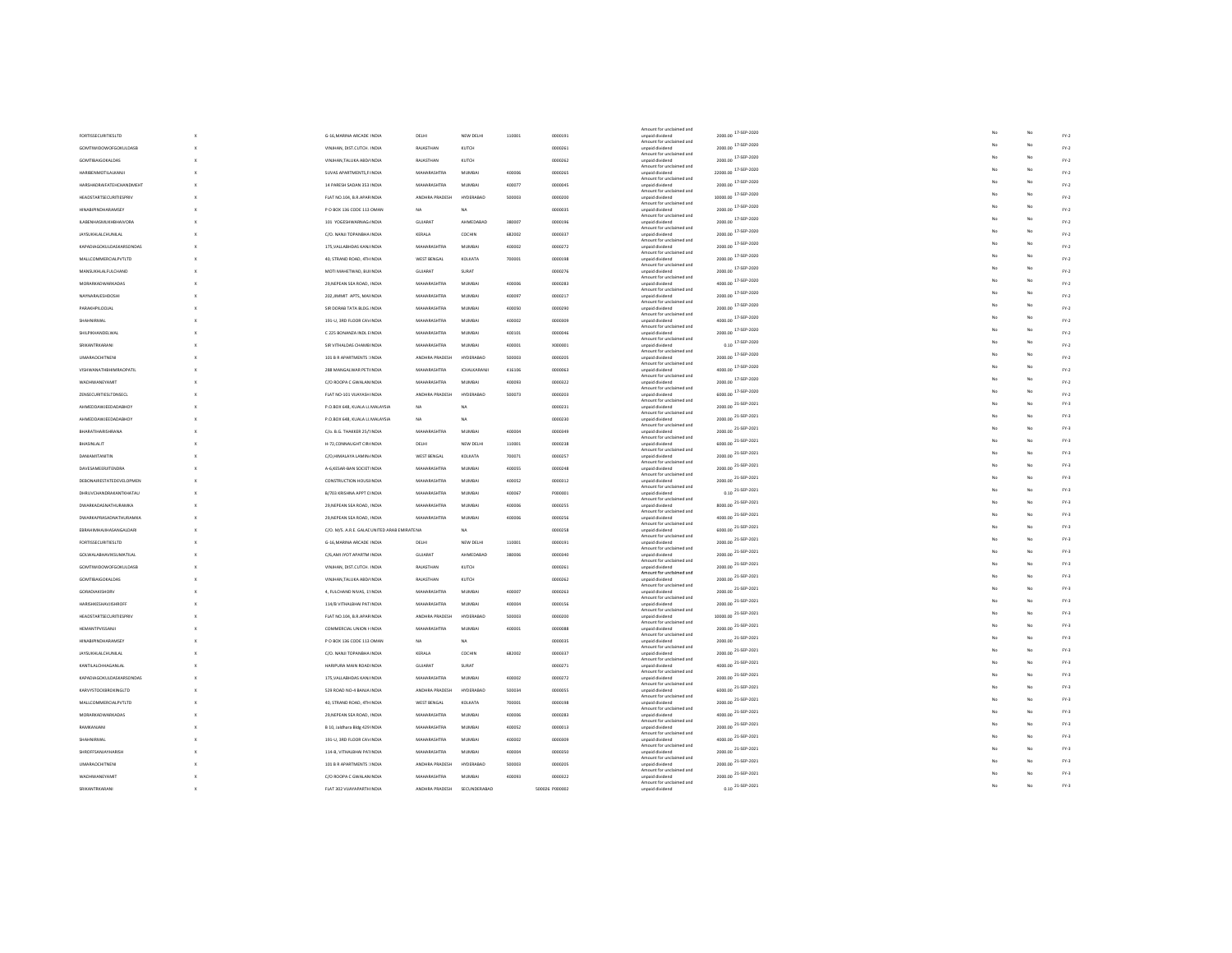|                                |                                             |                    |                  |        |                | Amount for unclaimed and                    |                                                       |    |    |        |
|--------------------------------|---------------------------------------------|--------------------|------------------|--------|----------------|---------------------------------------------|-------------------------------------------------------|----|----|--------|
| <b>FORTISSECURITIESLTD</b>     | G-16.MARINA ARCADE INDIA                    | DELHI              | NEW DELHI        | 110001 | 0000191        | unpaid dividend                             | 2000.00 17-SEP-2020                                   |    | No | $FY-2$ |
| GOMTIWIDOWOFGOKULDASB          | VINJHAN, DIST.CUTCH. INDIA                  | <b>RAJASTHAM</b>   | KUTCH            |        | 0000261        | Amount for unclaimed and<br>unpaid dividend | 2000.00 17-SEP-2020                                   |    | Nc | FY.2   |
| <b>GOMTIRAIGOKALDAS</b>        | VINJHAN.TALUKA ABD/ INDIA                   | RAIASTHAN          | KUTCH            |        | 0000262        | Amount for unclaimed and<br>unpaid dividend | 2000.00 17-SEP-2020                                   |    | Nc | $FY-2$ |
| HARIBENMOTILALKANJI            | SUVAS APARTMENTS.FIINDIA                    | MAHARASHTRA        | <b>MUMBA</b>     | 400006 | 0000265        | Amount for unclaimed and<br>unpaid dividend | 22000.00 17-SEP-2020                                  |    |    | $FY-2$ |
| HARSHADRAIFATFHCHANDMEHT       | 14 PARESH SADAN 353 INDIA                   | MAHARASHTRA        | <b>MUMRAL</b>    | 400077 | nnnnns         | Amount for unclaimed and<br>unpaid dividend | 2000.00 17-SEP-2020                                   |    |    | $FY-2$ |
|                                |                                             | ANDHRA PRADESH     |                  |        |                | Amount for unclaimed and                    | 10000.00 <sup>17-SEP-2020</sup>                       |    |    |        |
| HEADSTARTSECURITIESPRIV        | FLAT NO.104, B.R.APARINDIA                  |                    | <b>HYDERABAL</b> | 500003 | 0000200        | unpaid dividend<br>Amount for unclaimed and |                                                       |    |    | $FY-2$ |
| <b>HINABIPINDHARAMSEY</b>      | P O BOX 136 CODE 113 OMAN                   | NA                 | NA               |        | 0000035        | unpaid dividend<br>Amount for unclaimed and | 2000.00 17-SEP-2020                                   |    |    | $FY-2$ |
| <b>ILABENHASMUKHBHAIVORA</b>   | 101 YOGESHWARNAG/INDIA                      | GUJARAT            | AHMEDABAD        | 380007 | 0000196        | unpaid dividend<br>Amount for unclaimed and | 2000.00 17-SEP-2020                                   |    |    | $FY-2$ |
| <b>JAYSUKHLALCHUNILAL</b>      | C/O. NANJI TOPANBHA INDIA                   | KERALA             | COCHIN           | 682002 | 0000337        | unpaid dividend<br>Amount for unclaimed and | 2000.00 17-SEP-2020                                   |    |    | $FY-2$ |
| KAPADIAGOKULDASKARSONDAS       | 175. VALLABHDAS KANJ INDIA                  | MAHARASHTRA        | <b>MUMBAI</b>    | 400002 | 0000272        | unpaid dividend                             | 2000.00 17-SEP-2020                                   |    |    | $FY-2$ |
| MALLCOMMERCIALPVTLTD           | 40, STRAND ROAD, 4THINDIA                   | WEST BENGA         | <b>KOLKATA</b>   | 700001 | 0000198        | Amount for unclaimed and<br>unpaid dividend | 2000.00 17-SEP-2020                                   | No | Nc | $FY-2$ |
| MANSUKHLALFULCHAND             | MOTI MAHETWAD, BUI INDIA                    | GUJARAT            | SURAT            |        | 0000276        | Amount for unclaimed and<br>unpaid dividend | 2000.00 17-SEP-2020                                   |    |    | $FY-2$ |
| MORARKADWARKADAS               | 29, NEPEAN SEA ROAD, INDIA                  | MAHARASHTRA        | MUMBAI           | 400006 | 0000283        | Amount for unclaimed and<br>unpaid dividend | 4000.00 17-SEP-2020                                   |    |    | $FY-2$ |
| NAYNARAJESHDOSHI               | 202.JIMMIT APTS, MAHNDIA                    | MAHARASHTRA        | <b>MUMBAI</b>    | 400097 | 0000217        | Amount for unclaimed and<br>unpaid dividend | 2000.00 17-SEP-2020                                   |    |    | $FY-2$ |
| PARAKHPILODJAL                 | SIR DORAB TATA BLDG. INDIA                  | MAHARASHTRA        | MUMBAI           | 400050 | 0000290        | Amount for unclaimed and                    | 2000.00 17-SEP-2020                                   | No |    | FY.2   |
|                                |                                             |                    |                  |        |                | unpaid dividend<br>Amount for unclaimed and | 4000.00 17-SEP-2020                                   |    |    |        |
| SHAHNIRMAL                     | 191-U, 3RD FLOOR CAVINDIA                   | <b>MAHARASHTRA</b> | <b>MUMBAI</b>    | 400002 | 0000309        | unpaid dividend<br>Amount for unclaimed and |                                                       | No | Nc | $FY-2$ |
| SHILPIKHANDELWAL               | C 225 BONANZA INDL EINDIA                   | MAHARASHTRA        | MUMBAI           | 400101 | 0000046        | unpaid dividend<br>Amount for unclaimed and | 2000.00 17-SEP-2020                                   |    |    | FY.2   |
| SRIKANTRKARANI                 | SIR VITHALDAS CHAMB INDIA                   | MAHARASHTRA        | MUMBAI           | 400001 | X000001        | unpaid dividend<br>Amount for unclaimed and | $0.10$ 17-SEP-2020                                    |    |    | $FY-2$ |
| <b>UMARAOCHITNENI</b>          | 101 B R APARTMENTS 1INDIA                   | ANDHRA PRADESH     | HYDERABAD        | 500003 | 0000205        | unpaid dividend<br>Amount for unclaimed and | 2000.00 17-SEP-2020                                   |    |    | FY.2   |
| <b>VISHWANATHBHIMRAOPATIL</b>  | 288 MANGALWAR PETHNDIA                      | MAHARASHTRA        | ICHALKARANJ      | 416106 | 0000063        | unpaid dividend                             | 4000.00 17-SEP-2020                                   | No | Nc | $FY-2$ |
| WADHWANEYAMIT                  | C/O ROOPA C GWALAN INDIA                    | MAHARASHTRA        | MUMBAI           | 400093 | 0000322        | Amount for unclaimed and<br>unpaid dividend | 2000.00 17-SEP-2020                                   |    |    | FY.2   |
| ZENSECURITIESLTDNSECL          | FLAT NO-101 VIJAYASH INDIA                  | ANDHRA PRADESH     | HYDERABAD        | 500073 | 0000203        | Amount for unclaimed and<br>unpaid dividend | 6000.00 17-SEP-2020                                   |    |    | $FY-2$ |
| AHMEDDAWJEEDADABHOY            | P.O.BOX 648, KUALA LL MALAYSIA              | NA                 | NA               |        | 0000231        | Amount for unclaimed and<br>unpaid dividend | 2000.00 21-SEP-2021                                   |    |    | $FY-3$ |
| AHMEDDAWJEEDADABHOY            |                                             | NA                 | NA               |        | 0000230        | Amount for unclaimed and<br>unpaid dividend | 2000.00 21-SEP-2021                                   | No | Nc | $FY-3$ |
|                                | P.O.BOX 648, KUALA LL MALAYSIA              |                    |                  |        |                | Amount for unclaimed and                    | 2000.00 21-SEP-2021                                   |    |    | $FY-3$ |
| BHARATIHARISHRANA              | C/o. B.G. THAKKER 25/!INDIA                 | MAHARASHTRA        | <b>MUMBAI</b>    | 400004 | 0000349        | unpaid dividend<br>Amount for unclaimed and |                                                       | No |    | $FY-3$ |
| BHASINLALIT                    | H-72, CONNAUGHT CIR(INDIA                   | DELHI              | NEW DELH         | 110001 | 0000238        | unpaid dividend<br>Amount for unclaimed and | 6000.00 21-SEP-2021                                   |    |    |        |
| <b>DANIAMITANITIN</b>          | C/O.HIMALAYA LAMIN/INDIA                    | WEST BENGAL        | KOLKATA          | 700071 | 0000257        | unpaid dividend<br>Amount for unclaimed and | 2000.00 21-SEP-2021                                   |    |    | $FY-3$ |
| DAVESAMEERJITENDRA             | A-6, KESAR-BAN SOCIET INDIA                 | MAHARASHTRA        | MUMBAI           | 400055 | 0000248        | unpaid dividend<br>Amount for unclaimed and | 2000.00 21-SEP-2021                                   |    |    | $FY-3$ |
| DEBONAIRESTATEDEVELOPMEN       | <b>CONSTRUCTION HOUSEINDIA</b>              | MAHARASHTRA        | <b>MUMBAI</b>    | 400052 | 0000312        | unpaid dividend                             | 2000.00 21-SEP-2021                                   |    |    | $FY-3$ |
| DHRUVCHANDRAKANTKHATAU         | B/703 KRISHNA APPT OINDIA                   | MAHARASHTRA        | <b>MUMBA</b>     | 400067 | P000001        | Amount for unclaimed and<br>unpaid dividend | $0.10^{21 \cdot \text{SEP} \cdot 2021}$               |    |    | $FY-3$ |
| DWARKADASNATHURAMKA            | 29. NEPEAN SEA ROAD, INDIA                  | MAHARASHTRA        | <b>MUMBAI</b>    | 400006 | 0000255        | Amount for unclaimed and<br>unpaid dividend | 8000.00 21-SEP-2021                                   |    |    | $FY-3$ |
| DWARKAPRASADNATHURAMKA         | 29. NEPEAN SEA ROAD, INDIA                  | MAHARASHTRA        | <b>MUMBAI</b>    | 400006 | 0000256        | Amount for unclaimed and<br>unpaid dividend | 4000.00 21-SEP-2021                                   |    |    | FY-3   |
| EBRAHIMHAJIHASANGALDARI        | C/O. M/S. A.R.E. GALACUNITED ARAB EMIRATENA |                    | NA               |        | 0000258        | Amount for unclaimed and<br>unpaid dividend | 6000.00 21-SEP-2021                                   |    |    | $FY-3$ |
|                                |                                             |                    |                  |        |                | Amount for unclaimed and                    | 2000.00 21-SEP-2021                                   |    |    | $FY-3$ |
| <b>FORTISSECURITIESLTD</b>     | G-16.MARINA ARCADE INDIA                    | DELHI              | NEW DELHI        | 110001 | 0000191        | unpaid dividend<br>Amount for unclaimed and |                                                       |    |    | $FY-3$ |
| GOLWALABHAVIKSUMATILAL         | C/6,AMI JYOT APARTM INDIA                   | <b>GUJARAT</b>     | AHMEDABAD        | 380006 | 0000340        | unpaid dividend<br>Amount for unclaimed and | 2000.00 21-SEP-2021                                   |    |    |        |
| <b>GOMTIWIDOWOFGOKULDASB</b>   | VINJHAN, DIST.CUTCH, INDIA                  | RAJASTHAN          | KUTCH            |        | 0000261        | unpaid dividend<br>Amount for unclaimed and | 2000.00 21-SEP-2021                                   |    |    | FY-3   |
| <b>GOMTIBAIGOKALDAS</b>        | VINJHAN, TALUKA ABD/INDIA                   | RAJASTHAN          | KUTCH            |        | 0000262        | unpaid dividend<br>Amount for unclaimed and | 2000.00 21-SEP-2021                                   | No | No | $FY-3$ |
| <b>GORADIAKISHORV</b>          | 4. FULCHAND NIVAS, 15 INDIA                 | MAHARASHTRA        | <b>MUMBAI</b>    | 400007 | 0000263        | unpaid dividend                             | 2000.00 21-SEP-2021                                   |    |    | $FY-3$ |
| HARISHKESHAVJISHROFF           | 114/B VITHALBHAI PAT INDIA                  | MAHARASHTRA        | <b>MUMBAI</b>    | 400004 | 0000156        | Amount for unclaimed and<br>unpaid dividend | 2000.00 21-SEP-2021                                   |    |    | $FY-3$ |
| <b>HEADSTARTSECURITIESPRIV</b> | FLAT NO.104, B.R.APARINDIA                  | ANDHRA PRADESH     | HYDERARAE        | 500003 | 0000200        | Amount for unclaimed and<br>unpaid dividend | 10000.00 21-SEP-2021                                  |    |    | $FY-3$ |
| HEMANTPVISSANJI                | <b>COMMERCIAL UNION HINDIA</b>              | MAHARASHTRA        | <b>MUMBA</b>     | 400001 | 0000088        | Amount for unclaimed and<br>unpaid dividend | 2000.00 21-SEP-2021                                   | No |    | $FY-3$ |
| <b>HINABIPINDHARAMSEY</b>      | P O BOX 136 CODE 113 OMAN                   | NA                 | NA               |        | onnoss         | Amount for unclaimed and<br>unpaid dividend | 2000.00 21-SEP-2021                                   |    |    | $FY-3$ |
|                                |                                             |                    |                  |        |                | Amount for unclaimed and                    | 2000.00 21-SEP-2021                                   | Mo | Nc | $FY-3$ |
| JAYSUKHLALCHUNILAL             | C/O. NANJI TOPANBHA INDIA                   | KERALA             | COCHIN           | 682002 | 0000337        | unpaid dividend<br>Amount for unclaimed and |                                                       |    |    | $FY-3$ |
| KANTILALCHHAGANLAL             | HARIPURA MAIN ROAD INDIA                    | GUJARAT            | SURAT            |        | 0000271        | unpaid dividend<br>Amount for unclaimed and | 4000.00 21-SEP-2021                                   |    |    |        |
| KAPADIAGOKULDASKARSONDAS       | 175, VALLABHDAS KANJ INDIA                  | MAHARASHTRA        | MUMBAI           | 400002 | 0000272        | unpaid dividend<br>Amount for unclaimed and | 2000.00 21-SEP-2021                                   |    |    | $FY-3$ |
| KARVYSTOCKBROKINGLTD           | 529 ROAD NO-4 BANJA INDIA                   | ANDHRA PRADESH     | HYDERARAE        | 500034 | 0000055        | unpaid dividend<br>Amount for unclaimed and | 6000.00 21-SEP-2021                                   | No |    | $FY-3$ |
| MALLCOMMERCIALPVTLTD           | 40, STRAND ROAD, 4TH INDIA                  | WEST BENGAL        | KOLKATA          | 700001 | 0000198        | unpaid dividend                             | 2000.00 21-SEP-2021                                   |    |    | $FY-3$ |
| MORARKADWARKADAS               | 29, NEPEAN SEA ROAD, INDIA                  | MAHARASHTRA        | <b>MUMBAI</b>    | 400006 | 0000283        | Amount for unclaimed and<br>unpaid dividend | 4000.00 21-SEP-2021                                   |    |    | $FY-3$ |
| RAMKANJANI                     | B 10, Jaldhara Bldg 429 INDIA               | MAHARASHTRA        | <b>MUMBAI</b>    | 400052 | 0000013        | Amount for unclaimed and<br>unpaid dividend | 2000.00 21-SEP-2021                                   |    |    | $FY-3$ |
| SHAHNIRMAI                     | 191-U, 3RD FLOOR CAVINDIA                   | MAHARASHTRA        | <b>MUMBA</b>     | 400002 | 0000309        | Amount for unclaimed and<br>unpaid dividend | 4000.00 21-SEP-2021                                   |    | Nc | $FY-3$ |
| SHROFFSANJAYHARISH             | 114-B. VITHALBHAI PATINDIA                  | MAHARASHTRA        | <b>MUMBAI</b>    | 400004 | 0000350        | Amount for unclaimed and                    | 2000.00 21-SEP-2021                                   |    |    | $FY-3$ |
|                                |                                             |                    |                  |        |                | unpaid dividend<br>Amount for unclaimed and | 2000.00 21-SEP-2021                                   |    |    | FY-3   |
| <b>UMARAOCHITNEN</b>           | 101 B R APARTMENTS 1INDIA                   | ANDHRA PRADESH     | HYDERABAD        | 500003 | 0000205        | unpaid dividend<br>Amount for unclaimed and |                                                       |    |    | $FY-3$ |
| WADHWANEYAMIT                  | C/O ROOPA C GWALAN INDIA                    | MAHARASHTRA        | <b>MUMBAI</b>    | 400093 | 0000322        | unpaid dividend<br>Amount for unclaimed and | 2000.00 21-SEP-2021                                   |    |    | $FN-3$ |
| SRIKANTRKARANI                 | FLAT 302 VIJAYAPARTH INDIA                  | ANDHRA PRADESH     | SECUNDERABAD     |        | 500026 P000002 | unpaid dividend                             | $0.10\begin{array}{l} 21\text{-SEP-}2021 \end{array}$ | No |    |        |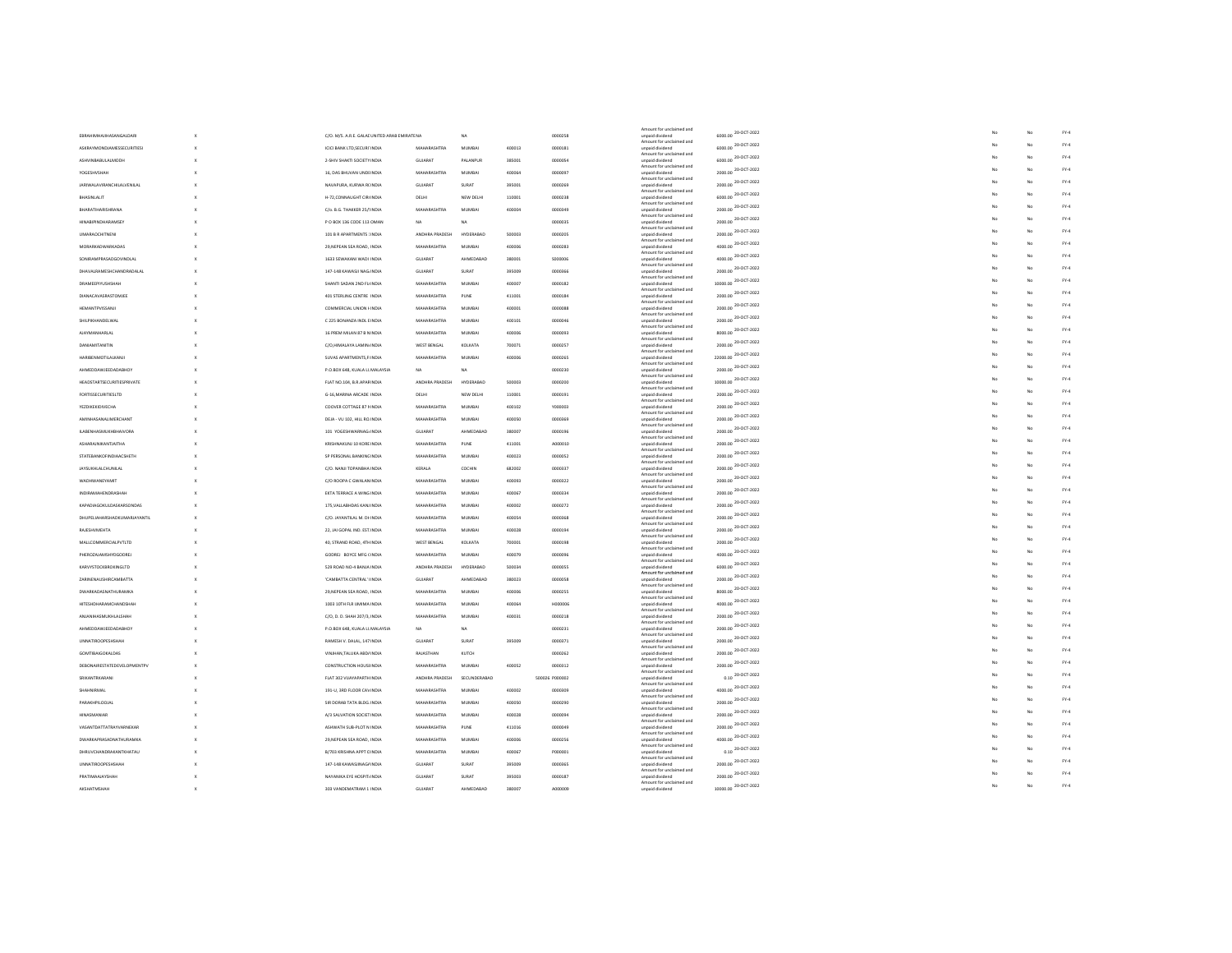|                                   |                                             |                    |                  |        |                | Amount for unclaimed and                    |                                             |    |    |                       |
|-----------------------------------|---------------------------------------------|--------------------|------------------|--------|----------------|---------------------------------------------|---------------------------------------------|----|----|-----------------------|
| EBRAHIMHAJIHASANGALDARI           | C/O. M/S. A.R.E. GALACUNITED ARAB EMIRATENA |                    | NA               |        | 0000258        | unpaid dividend<br>Amount for unclaimed and | 6000.00 20-OCT-2022                         |    | No | ${\rm FY-4}$          |
| ASKRAYMONDJAMESSECURITIESI        | ICICI BANK LTD.SECURITINDIA                 | MAHARASHTRA        | <b>MUMBAI</b>    | 400013 | 0000181        | unpaid dividend                             | 6000.00 20-OCT-2022                         |    | No | ${\rm FY-4}$          |
| ASHVINBABULALMODH                 | 2-SHIV SHAKTI SOCIETY INDIA                 | GUJARAT            | PALANPUR         | 385001 | 0000054        | Amount for unclaimed and<br>unpaid dividend | 6000.00 20-OCT-2022                         |    |    | ${\sf FY}{\text{-}4}$ |
| <b>YOGFSHVSHAH</b>                |                                             | MAHARASHTRA        | <b>MUMRAL</b>    | 400064 | nnnnnaz        | Amount for unclaimed and                    | 2000.00 20-OCT-2022                         |    |    | ${\rm FY-4}$          |
|                                   | 16. DAS BHUVAN UNDEINDIA                    |                    |                  |        |                | unpaid dividend<br>Amount for unclaimed and |                                             |    |    | $FY-4$                |
| <b>JARIWALAVIRANCHILALVENILAL</b> | NAVAPURA, KURWA RCINDIA                     | <b>GUJARAT</b>     | SURAT            | 395001 | 0000269        | unpaid dividend<br>Amount for unclaimed and | 2000.00 20-OCT-2022                         |    |    |                       |
| <b>RHASINI ALIT</b>               | H-72.CONNAUGHT CIR(INDIA                    | DELHI              | NEW DELHI        | 110001 | 0000238        | unpaid dividend                             | 6000.00 20-OCT-2022                         |    |    | FY.4                  |
| BHARATIHARISHRANA                 | C/o. B.G. THAKKER 25/!INDIA                 | MAHARASHTRA        | <b>MUMBAI</b>    | 400004 | 0000349        | Amount for unclaimed and<br>unpaid dividend | 2000.00 20-OCT-2022                         |    |    | $FY-4$                |
| <b>HINABIPINDHARAMSEY</b>         | P O BOX 136 CODE 113 OMAN                   | NA                 | NA               |        | 0000035        | Amount for unclaimed and<br>unpaid dividend | 2000.00 20-OCT-2022                         |    |    | FY.4                  |
|                                   |                                             |                    |                  |        |                | Amount for unclaimed and                    | 2000.00 20-OCT-2022                         |    |    | $FY-4$                |
| <b>UMARAOCHITNENI</b>             | 101 B R APARTMENTS JINDIA                   | ANDHRA PRADESH     | <b>HYDERABAD</b> | 500003 | 0000205        | unpaid dividend<br>Amount for unclaimed and |                                             | No |    | $FY-4$                |
| MORARKADWARKADAS                  | 29, NEPEAN SEA ROAD, INDIA                  | MAHARASHTRA        | <b>MUMBA</b>     | 400006 | 0000283        | unpaid dividend<br>Amount for unclaimed and | 4000.00 $^{20 \cdot \text{OCT} \cdot 2022}$ |    |    |                       |
| SONIRAMPRASADGOVINDLAL            | 1633 SEWAKANI WADI INDIA                    | GUJARAT            | AHMEDABAD        | 380001 | \$000006       | unpaid dividend                             | 4000.00 20-OCT-2022                         |    |    | FY.4                  |
| DHAVALRAMESHCHANDRADALAL          | 147-148 KAWASJI NAGHNDIA                    | GUJARAT            | SURAT            | 395009 | 0000366        | Amount for unclaimed and<br>unpaid dividend | 2000.00 20-OCT-2022                         |    |    | $FY-4$                |
| DRAMEEPIYUSHSHAH                  | SHANTI SADAN 2ND FL(INDIA                   | MAHARASHTRA        | <b>MUMBAI</b>    | 400007 | 0000182        | Amount for unclaimed and<br>unpaid dividend | 10000.00 20-OCT-2022                        |    |    | ${\rm FY-4}$          |
| DIANACAVASRASTOMJEE               | 401 STERLING CENTRE : INDIA                 | MAHARASHTRA        | PUNE             | 411001 | 0000184        | Amount for unclaimed and<br>unpaid dividend | 2000.00 20-OCT-2022                         |    |    | $FY-4$                |
|                                   |                                             |                    |                  |        |                | Amount for unclaimed and                    | 2000.00 20-OCT-2022                         |    |    | ${\rm FY-4}$          |
| HEMANTPVISSANJI                   | <b>COMMERCIAL UNION HINDIA</b>              | MAHARASHTRA        | <b>MUMBA</b>     | 400001 | 0000088        | unpaid dividend<br>Amount for unclaimed and |                                             |    |    |                       |
| SHILPIKHANDELWAL                  | C 225 BONANZA INDL EINDIA                   | MAHARASHTRA        | <b>MUMBAI</b>    | 400101 | 0000046        | unpaid dividend<br>Amount for unclaimed and | 2000.00 20-OCT-2022                         |    |    | $FY-4$                |
| <b>AJAYMANHARLAL</b>              | 16 PREM MILAN 87 B N INDIA                  | MAHARASHTRA        | <b>MUMBA</b>     | 400006 | 0000093        | unpaid dividend                             | 8000.00 20-OCT-2022                         |    |    | ${\rm FY-4}$          |
| <b>DANIAMITANITIN</b>             | C/O.HIMALAYA LAMIN/INDIA                    | WEST BENGAL        | KOLKATA          | 700071 | 0000257        | Amount for unclaimed and<br>unpaid dividend | 2000.00 20-OCT-2022                         |    |    | $FY-4$                |
| HARIBENMOTILALKANJI               | SUVAS APARTMENTS, FIINDIA                   | MAHARASHTRA        | <b>MUMBA</b>     | 400006 | 0000265        | Amount for unclaimed and<br>unpaid dividend | 22000.00 20-OCT-2022                        | No | Nc | $FY-4$                |
|                                   |                                             |                    |                  |        |                | Amount for unclaimed and                    | 2000.00 20-OCT-2022                         |    |    | FY.4                  |
| AHMEDDAWJEEDADABHOY               | P.O.BOX 648, KUALA LL MALAYSIA              | <b>NA</b>          | NA               |        | 0000230        | unpaid dividend<br>Amount for unclaimed and |                                             | Mo | Nc | $FY-4$                |
| <b>HEADSTARTSECURITIESPRIVATE</b> | FLAT NO.104, B.R.APARINDIA                  | ANDHRA PRADESH     | HYDERABAD        | 500003 | 0000200        | unpaid dividend<br>Amount for unclaimed and | 10000.00 20-OCT-2022                        |    |    |                       |
| <b>FORTISSECURITIESLTD</b>        | G-16.MARINA ARCADE INDIA                    | DELHI              | NEW DELHI        | 110001 | 0000191        | unpaid dividend                             | 2000.00 20-OCT-2022                         |    |    | FY.4                  |
| YEZDIKEKIDIVECHA                  | COOVER COTTAGE 87 NINDIA                    | MAHARASHTRA        | MUMBAI           | 400102 | Y000003        | Amount for unclaimed and<br>unpaid dividend | 2000.00 20-OCT-2022                         | No |    | $FY-4$                |
| AMINHASANALIMERCHANT              | DEJA - VU 102, HILL ROJNDIA                 | <b>MAHARASHTRA</b> | <b>MUMBAI</b>    | 400050 | 0000369        | Amount for unclaimed and<br>unpaid dividend | 2000.00 20-OCT-2022                         |    |    | $FY-4$                |
| <b>ILABENHASMUKHBHAIVORA</b>      | 101 YOGESHWARNAG/INDIA                      | GUJARAT            | AHMEDABAD        | 380007 | 0000196        | Amount for unclaimed and<br>unpaid dividend | 2000.00 20-OCT-2022                         |    |    | $FY-4$                |
|                                   |                                             |                    |                  |        |                | Amount for unclaimed and                    | 2000.00 20-OCT-2022                         |    |    | ${\rm FY-4}$          |
| ASHARAJNIKANTJAITHA               | KRISHNAKUNJ 10 KORE INDIA                   | MAHARASHTRA        | PUNE             | 411001 | A000010        | unpaid dividend<br>Amount for unclaimed and |                                             |    |    | ${\rm FY-4}$          |
| STATEBANKOFINDIAACSHETH           | SP PERSONAL BANKING INDIA                   | MAHARASHTRA        | MUMBAI           | 400023 | 0000052        | unpaid dividend<br>Amount for unclaimed and | 2000.00 20-OCT-2022                         |    |    |                       |
| JAYSUKHLALCHUNILAL                | C/O. NANJI TOPANBHA INDIA                   | KERALA             | COCHIN           | 682002 | 0000337        | unpaid dividend                             | 2000.00 20-OCT-2022                         | No |    | $FY-4$                |
| WADHWANEYAMIT                     | C/O ROOPA C GWALAN INDIA                    | MAHARASHTRA        | MUMBAI           | 400093 | 0000322        | Amount for unclaimed and<br>unpaid dividend | 2000.00 20-OCT-2022                         |    |    | ${\rm FY-4}$          |
| INDIRAMAHENDRASHAH                | EKTA TERRACE A WING INDIA                   | MAHARASHTRA        | MUMBAI           | 400067 | 0000334        | Amount for unclaimed and<br>unpaid dividend | 2000.00 20-OCT-2022                         |    |    | $FY-4$                |
| KAPADIAGOKULDASKARSONDAS          | 175. VALLABHDAS KANJ INDIA                  | MAHARASHTRA        | <b>MUMBAI</b>    | 400002 | 0000272        | Amount for unclaimed and<br>unpaid dividend | 2000.00 20-OCT-2022                         |    |    | $FY-4$                |
|                                   |                                             |                    |                  |        |                | Amount for unclaimed and                    | 2000.00 20-OCT-2022                         | No | Nc | $FY-4$                |
| DHUPELIAHARSHADKUMARJAYANTIL      | C/O. JAYANTILAL M. DHINDIA                  | MAHARASHTRA        | <b>MUMBA</b>     | 400054 | 0000368        | unpaid dividend<br>Amount for unclaimed and |                                             |    |    | FY.4                  |
| RAIFSHVMFHTA                      | 22, JAI GOPAL IND. EST. INDIA               | MAHARASHTRA        | <b>MUMRAL</b>    | 400028 | 0000194        | unpaid dividend<br>Amount for unclaimed and | 2000.00 20-OCT-2022                         |    |    |                       |
| MALLCOMMERCIALPVTLTD              | 40, STRAND ROAD, 4TH INDIA                  | WEST BENGAL        | KOLKATA          | 700001 | 0000198        | unpaid dividend                             | 2000.00 20-OCT-2022                         |    |    | $FY-4$                |
| PHEROZAJAMSHYDGODREJ              | GODREJ BOYCE MFG CINDIA                     | <b>MAHARASHTRA</b> | <b>MUMBAI</b>    | 400079 | nnnnnss        | Amount for unclaimed and<br>unpaid dividend | 4000.00 20-OCT-2022                         |    |    | $PV-4$                |
| KARVYSTOCKBROKINGLTD              | 529 ROAD NO-4 BANJA INDIA                   | ANDHRA PRADESH     | HYDERABAD        | 500034 | 0000055        | Amount for unclaimed and<br>unpaid dividend | 6000.00 20-OCT-2022                         |    |    | $FY-4$                |
| ZARINENAUSHIRCAMBATTA             | 'CAMBATTA CENTRAL' IINDIA                   | GUJARAT            | AHMEDARAD        | 380023 | 0000058        | Amount for unclaimed and<br>unpaid dividend | 2000.00 20-OCT-2022                         |    | Nc | $FY-4$                |
|                                   |                                             |                    |                  |        |                | Amount for unclaimed and                    | 8000.00 20-OCT-2022                         |    |    | $FY-4$                |
| DWARKADASNATHURAMKA               | 29, NEPEAN SEA ROAD, INDIA                  | MAHARASHTRA        | MUMBAI           | 400006 | 0000255        | unpaid dividend<br>Amount for unclaimed and |                                             |    |    | $FY-4$                |
| HITESHDHARAMCHANDSHAH             | 1003 10TH FLR UMIMA INDIA                   | MAHARASHTRA        | <b>MUMBAI</b>    | 400064 | <b>HODDDD6</b> | unpaid dividend<br>Amount for unclaimed and | 4000.00 20-OCT-2022                         |    |    |                       |
| ANJANIHASMUKHLALSHAH              | C/O. D. D. SHAH 207/3, INDIA                | MAHARASHTRA        | <b>MUMBAI</b>    | 400031 | 0000218        | unpaid dividend                             | 2000.00 20-OCT-2022                         |    |    | ${\rm FY-4}$          |
| AHMEDDAWJEEDADABHOY               | P.O.BOX 648, KUALA LL MALAYSIA              | NA                 | NA               |        | 0000231        | Amount for unclaimed and<br>unpaid dividend | 2000.00 20-OCT-2022                         | No |    | $PV-4$                |
| UNNATIROOPESHSHAH                 | RAMESH V. DALAL, 147 INDIA                  | GUJARAT            | SURAT            | 395009 | 0000371        | Amount for unclaimed and<br>unpaid dividend | 2000.00 20-OCT-2022                         |    |    | ${\rm FY-4}$          |
| GOMTIBAIGOKALDAS                  |                                             | <b>RAJASTHAM</b>   | KUTCH            |        | 0000262        | Amount for unclaimed and                    | 2000.00 20-OCT-2022                         |    |    | $FY-4$                |
|                                   | VINJHAN, TALUKA ABD/INDIA                   |                    |                  |        |                | unpaid dividend<br>Amount for unclaimed and |                                             |    |    | $FY-4$                |
| DERONAIRESTATEDEVELOPMENTPV       | CONSTRUCTION HOUSENDIA                      | <b>MAHARASHTRA</b> | <b>MUMRAL</b>    | 400052 | 0000312        | unpaid dividend<br>Amount for unclaimed and | 2000.00 20-OCT-2022                         |    |    |                       |
| SRIKANTRKARANI                    | FLAT 302 VIJAYAPARTH INDIA                  | ANDHRA PRADESH     | SECUNDERABAD     |        | 500026 P000002 | unpaid dividend<br>Amount for unclaimed and | $0.10\,$ 20-OCT-2022                        |    |    | $FY-4$                |
| SHAHNIRMAL                        | 191-U, 3RD FLOOR CAVINDIA                   | MAHARASHTRA        | <b>MUMRAL</b>    | 400002 | 0000309        | unpaid dividend                             | 4000.00 20-OCT-2022                         |    |    | FY.4                  |
| PARAKHPILOOJAL                    | SIR DORAB TATA BLDG. INDIA                  | MAHARASHTRA        | <b>MUMBAI</b>    | 400050 | 0000290        | Amount for unclaimed and<br>unpaid dividend | 2000.00 20-OCT-2022                         |    |    | $FY-4$                |
| <b>HINASMANIAR</b>                | A/3 SALVATION SOCIET INDIA                  | <b>MAHARASHTRA</b> | <b>MUMRAL</b>    | 400028 | nnnnnag        | Amount for unclaimed and<br>unpaid dividend | 2000.00 20-OCT-2022                         |    |    | $FY-4$                |
|                                   |                                             |                    |                  |        |                | Amount for unclaimed and                    | 2000.00 20-OCT-2022                         |    |    | $FY-4$                |
| VASANTDATTATRAYVARNEKAR           | ASHWATH SUB-PLOT N INDIA                    | MAHARASHTRA        | PUNE             | 411016 | 0000049        | unpaid dividend<br>Amount for unclaimed and | 4000.00 $^{20 \cdot \text{OCT} \cdot 2022}$ |    |    | $FY-4$                |
| <b>DWARKAPRASADNATHURAMKA</b>     | 29, NEPEAN SEA ROAD, INDIA                  | MAHARASHTRA        | <b>MUMBA</b>     | 400006 | 0000256        | unpaid dividend<br>Amount for unclaimed and |                                             |    |    |                       |
| DHRUVCHANDRAKANTKHATAU            | B/703 KRISHNA APPT OINDIA                   | MAHARASHTRA        | <b>MUMBAI</b>    | 400067 | P000001        | unpaid dividend<br>Amount for unclaimed and | $0.10\ 20\,0$ CT-2022                       |    |    | $FY-4$                |
| <b>UNNATIROOPESHSHAI</b>          | 147-148 KAWASJINAGA INDIA                   | GUJARAT            | SURAT            | 395009 | 0000365        | unpaid dividend                             | 2000.00 20-OCT-2022                         |    |    | $FY-4$                |
| PRATIMAAJAYSHAH                   | NAYANIKA EYE HOSPITJINDIA                   | GUJARAT            | SURAT            | 395003 | 0000187        | Amount for unclaimed and<br>unpaid dividend | 2000.00 20-OCT-2022                         |    |    | FY.4                  |
| AKSHATMSHAH                       | 303 VANDEMATRAM 1 INDIA                     | GUJARAT            | AHMEDABAD        | 380007 | A000009        | Amount for unclaimed and<br>unpaid dividend | 10000.00 20-OCT-2022                        | No | w  | $PV-4$                |
|                                   |                                             |                    |                  |        |                |                                             |                                             |    |    |                       |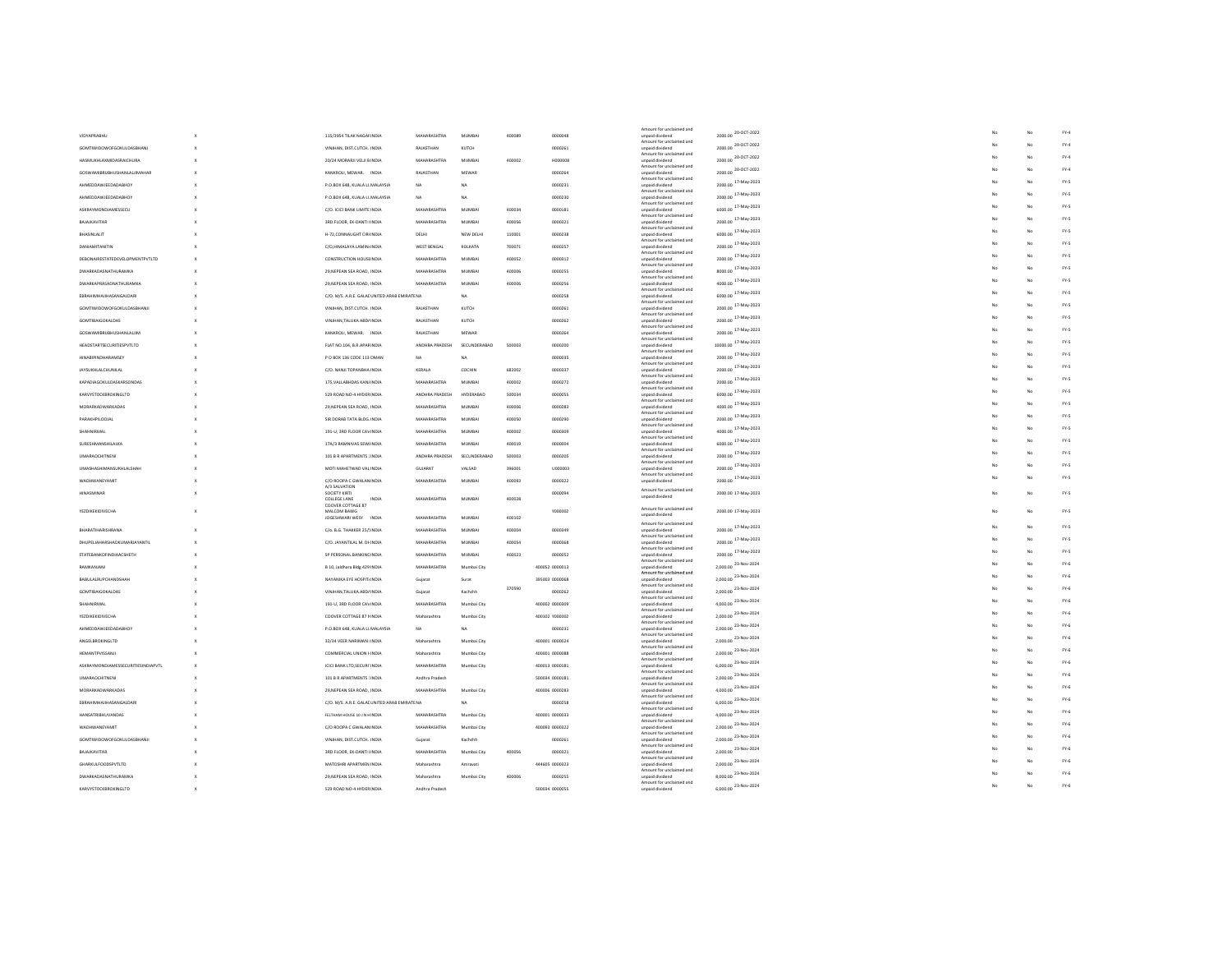| Amount for unclaimed and<br>2000.00 20-OCT-2022<br>VIDYAPRABHU<br>115/3954 TILAK NAGAFINDIA<br>MAHARASHTRA<br><b>MUMBAL</b><br>400089<br>0000048<br>unpaid dividend<br>Amount for unclaimed and<br>2000.00 20-OCT-2022<br>GOMTIWIDOWOFGOKULDASBHANJ<br>VINJHAN, DIST.CUTCH. INDIA<br>RAJASTHAN<br>KUTCH<br>0000261<br>unpaid dividend<br>Amount for unclaimed and<br>2000.00 20-OCT-2022<br>HASMUKHLAXMIDASRAICHURA<br>20/24 MORARJI VELJI B INDIA<br>MAHARASHTRA<br><b>MUMRA</b><br>400002<br>HODDOG<br>unpaid dividend<br>Amount for unclaimed and<br>2000.00 20-OCT-2022<br><b>GOSWAMIBRUBHUSHANLALJIMAHAF</b><br>KANKROLI, MEWAR. INDIA<br>RAJASTHAN<br>MEWAP<br>0000264<br>unpaid dividend<br>Amount for unclaimed and<br>2000.00 17-May-2023<br>ΑΗΜΕΠΠΑΨΙΕΕΠΑΠΑΒΗΠΥ<br>P.O.BOX 648, KUALA LL MALAYSIA<br>N <sub>A</sub><br>NA<br>0000231<br>unnaid dividend<br>Amount for unclaimed and<br>2000.00 <sup>17-May-2023</sup><br>AHMEDDAWJEEDADABHOY<br>P.O.BOX 648, KUALA LL MALAYSIA<br>NA<br>0000230<br>NA<br>unpaid dividend<br>Amount for unclaimed and<br>6000.00 17-May-2023<br>ASKRAYMONDJAMESSECU<br>C/O. ICICI BANK LIMITE INDIA<br>MAHARASHTRA<br><b>MUMBA</b><br>400034<br>0000181<br>unpaid dividend<br>Amount for unclaimed and<br>2000.00 <sup>17-May-2023</sup><br>3RD.FLOOR, EK-DANTI HNDIA<br>BAJAJKAVITAR<br>MAHARASHTRA<br><b>MUMBAI</b><br>400056<br>0000321<br>unpaid dividend<br>Amount for unclaimed and<br>6000.00 17-May-2023<br>H-72,CONNAUGHT CIR(INDIA<br>110001<br>0000238<br>BHASINLALIT<br>DELHI<br>NEW DELH<br>unpaid dividend<br>Amount for unclaimed and<br>2000.00 17-May-2023<br><b>DANIAMITANITIN</b><br>C/O.HIMALAYA LAMIN/INDIA<br>WEST BENGAL<br>KOLKATA<br>700071<br>0000257<br>unpaid dividend<br>Amount for unclaimed and<br>2000.00 17-May-2023<br>DEBONAIRESTATEDEVELOPMENTPVTLTD<br><b>CONSTRUCTION HOUSEINDIA</b><br>MAHARASHTRA<br><b>MUMBA</b><br>0000312<br>400052<br>unpaid dividend<br>Amount for unclaimed and<br>8000.00 17-May-2023<br>DWARKADASNATHURAMKA<br>29. NEPEAN SEA ROAD, INDIA<br>MAHARASHTRA<br><b>MUMBA</b><br>400006<br>0000255<br>unpaid dividend<br>Amount for unclaimed and<br>4000.00 <sup>17-May-2023</sup><br><b>DWARKAPRASADNATHURAMKA</b><br>29, NEPEAN SEA ROAD, INDIA<br>MAHARASHTRA<br>MUMBAI<br>0000256<br>400006<br>unpaid dividend<br>Amount for unclaimed and<br>6000.00 17-May-2023<br>C/O. M/S. A.R.E. GALACUNITED ARAB EMIRATENA<br>EBRAHIMHAJIHASANGALDARI<br>NA<br>0000258<br>unpaid dividend<br>Amount for unclaimed and<br>2000.00 <sup>17-May-2023</sup><br>GOMTIWIDOWOFGOKULDASBHANJI<br>VINJHAN, DIST.CUTCH. INDIA<br>RAJASTHAN<br>KUTCH<br>0000261<br>unpaid dividend<br>Amount for unclaimed and<br>2000.00 17-May-2023<br>GOMTIBAIGOKALDAS<br>VINJHAN, TALUKA ABD/ INDIA<br>RAJASTHAN<br>KUTCH<br>0000262<br>unpaid dividend<br>Amount for unclaimed and<br>2000.00 <sup>17-May-2023</sup><br>KANKROLI, MEWAR. INDIA<br>RAJASTHAN<br>MEWAR<br>0000264<br><b>GOSWAMIBRIJBHUSHANLALJIM</b><br>unpaid dividend<br>Amount for unclaimed and<br>10000.00 <sup>17-May-2023</sup><br><b>HEADSTARTSECURITIESPVTLTD</b><br>FLAT NO.104, B.R.APARINDIA<br>ANDHRA PRADESH<br>SECUNDERABAD<br>500003<br>0000200<br>unpaid dividend<br>Amount for unclaimed and<br>2000.00 17-May-2023<br>P O BOX 136 CODE 113 OMAN<br><b>HINABIPINDHARAMSEY</b><br><b>NA</b><br>NA<br>0000035<br>unpaid dividend<br>Amount for unclaimed and<br>2000.00 17-May-2023<br><b>JAYSUKHLALCHUNILAL</b><br>C/O. NANJI TOPANBHA INDIA<br>KERALA<br>COCHIN<br>682002<br>0000337<br>unpaid dividend<br>Amount for unclaimed and<br>2000.00 17-May-2023<br>MAHARASHTRA<br>KAPADIAGOKULDASKARSONDAS<br>175, VALLABHDAS KANJ INDIA<br>MUMBAI<br>400002<br>0000272<br>unpaid dividend<br>Amount for unclaimed and<br>6000.00 17-May-2023<br>KARVYSTOCKBROKINGLTD<br>529 ROAD NO-4 HYDER INDIA<br>ANDHRA PRADESH<br>HYDERABAD<br>500034<br>0000055<br>unpaid dividend<br>Amount for unclaimed and<br>4000.00 17-May-2023<br>MORARKADWARKADAS<br>29, NEPEAN SEA ROAD, INDIA<br>MAHARASHTRA<br>400006<br>0000283<br>MUMBAI<br>unpaid dividend<br>Amount for unclaimed and<br>$2000.00$ $17$ -May-2023<br>PARAKHPILOOJAL<br>SIR DORAB TATA BLDG. INDIA<br>MAHARASHTRA<br><b>MUMBA</b><br>400050<br>0000290<br>unpaid dividend<br>Amount for unclaimed and<br>4000.00 <sup>17-May-2023</sup><br>SHAHNIRMAL<br>191-U, 3RD FLOOR CAVINDIA<br>MAHARASHTRA<br><b>MUMBAL</b><br>400002<br>0000309<br>unpaid dividend<br>Amount for unclaimed and<br>6000.00 <sup>17-May-2023</sup><br>SURESHMANSHILALKA<br>17A/3 RAMNIVAS SEWHNDIA<br>MAHARASHTRA<br><b>MUMBA</b><br>400019<br>0000004<br>unpaid dividend<br>Amount for unclaimed and<br>2000.00 17-May-2023<br><b>UMARAOCHITNENI</b><br>101 B R APARTMENTS JINDIA<br>ANDHRA PRADESH<br>SECUNDERABAD<br>500003<br>0000205<br>unpaid dividend<br>Amount for unclaimed and<br>2000.00 17-May-2023<br><b>UMASHASHIMANSUKHLALSHAH</b><br>MOTI MAHETWAD VAL INDIA<br>GUJARAT<br>VALSAD<br>396001<br>U000003<br>unpaid dividend<br>Amount for unclaimed and<br>2000.00 17-May-2023<br>WADHWANEYAMIT<br>C/O ROOPA C GWALAN INDIA<br>MAHARASHTRA<br><b>MUMBA</b><br>400093<br>0000322<br>unpaid dividend<br>A/3 SALVATION<br>Amount for unclaimed and<br>HINASMINAR<br>SOCIETY KIRTI<br>000009<br>2000.00 17-May-2023<br>unpaid dividend<br>COLLEGE LANE<br>INDM<br>MAHARASHTRA<br><b>MUMBA</b><br>400028<br>COOVER COTTAGE 87<br>Amount for unclaimed and<br>2000.00 17-May-2023<br><b>YEZDIKEKIDIVECHA</b><br>MALCOM BAWG<br>Y000002<br>unpaid dividend<br>400102<br>JOGESHWARI WESY INDIA<br>MAHARASHTRA<br><b>MUMBAI</b><br>Amount for unclaimed and<br>2000.00 17-May-2023<br>BHARATIHARISHRANA<br>C/o. B.G. THAKKER 25/!INDIA<br>MAHARASHTRA<br><b>MUMBA</b><br>400004<br>0000349<br>unpaid dividend<br>Amount for unclaimed and<br>2000.00 <sup>17-May-2023</sup><br>DHUPELIAHARSHADKUMARJAYANTIL<br>C/O. JAYANTILAL M. DHINDIA<br>MAHARASHTRA<br>0000368<br><b>MUMBAI</b><br>400054<br>unpaid dividend<br>Amount for unclaimed and<br>2000.00 17-May-2023<br>STATEBANKOFINDIAACSHETH<br>SP PERSONAL BANKING INDIA<br>MAHARASHTRA<br><b>MUMBA</b><br>400023<br>0000052<br>unpaid dividend<br>Amount for unclaimed and<br>2,000.00 <sup>23-Nov-2024</sup><br>MAHARASHTRA<br>RAMKANJANI<br>B 10, Jaldhara Bldg 429 INDIA<br>Mumbai City<br>400052 0000013<br>unpaid dividend<br>Amount for unclaimed and<br>2,000.00 <sup>23-Nov-2024</sup><br>BABULALRUPCHANDSHAH<br>NAYANIKA EYE HOSPITJINDIA<br>395003 0000068<br>Gujarat<br>Sura<br>unpaid dividend<br>Amount for unclaimed and<br>370590<br>2,000.00 <sup>23-Nov-2024</sup><br><b>GOMTIBAIGOKALDAS</b><br>VINJHAN.TALUKA ABD/ INDIA<br>Guiarat<br>Kachchh<br>0000262<br>unpaid dividend<br>Amount for unclaimed and<br>4,000.00 <sup>23-Nov-2024</sup><br>191-U, 3RD FLOOR CAVINDIA<br>MAHARASHTRA<br>400002 0000309<br>SHAHNIRMAL<br>Mumbai City<br>unpaid dividend<br>Amount for unclaimed and<br>2.000.00 23-Nov-2024<br><b>YEZDIKEKIDIVECHA</b><br>COOVER COTTAGE 87 NINDIA<br>Maharashtra<br>Mumhai City<br>400102 YODDOO2<br>unpaid dividend<br>Amount for unclaimed and<br>2,000.00 23-Nov-2024<br>P.O.BOX 648, KUALA LL MALAYSIA<br>NA<br>NA<br>AHMEDDAWJEEDADABHOY<br>0000231<br>unpaid dividend | FY.4<br>$FY-4$<br>No<br>$FY-4$<br>No<br>${\sf FY-4}$<br>FY-5<br>FY-5<br>FY-5<br>No<br>FY-5<br>FY-5<br>FY-5<br>FY-5<br>No<br>FY.5<br>FY-5<br>FY-5<br>FY-5<br>No<br>FY-5<br>FY-5<br>FY-5<br>FY-5<br>FY-5<br>No<br>FY-5<br>FY.5<br>FY-5<br>FY.5<br>No<br>FY-5<br>FY.5<br>FY-5<br>FY-5<br>FY-5<br>No<br>FY-5 |
|------------------------------------------------------------------------------------------------------------------------------------------------------------------------------------------------------------------------------------------------------------------------------------------------------------------------------------------------------------------------------------------------------------------------------------------------------------------------------------------------------------------------------------------------------------------------------------------------------------------------------------------------------------------------------------------------------------------------------------------------------------------------------------------------------------------------------------------------------------------------------------------------------------------------------------------------------------------------------------------------------------------------------------------------------------------------------------------------------------------------------------------------------------------------------------------------------------------------------------------------------------------------------------------------------------------------------------------------------------------------------------------------------------------------------------------------------------------------------------------------------------------------------------------------------------------------------------------------------------------------------------------------------------------------------------------------------------------------------------------------------------------------------------------------------------------------------------------------------------------------------------------------------------------------------------------------------------------------------------------------------------------------------------------------------------------------------------------------------------------------------------------------------------------------------------------------------------------------------------------------------------------------------------------------------------------------------------------------------------------------------------------------------------------------------------------------------------------------------------------------------------------------------------------------------------------------------------------------------------------------------------------------------------------------------------------------------------------------------------------------------------------------------------------------------------------------------------------------------------------------------------------------------------------------------------------------------------------------------------------------------------------------------------------------------------------------------------------------------------------------------------------------------------------------------------------------------------------------------------------------------------------------------------------------------------------------------------------------------------------------------------------------------------------------------------------------------------------------------------------------------------------------------------------------------------------------------------------------------------------------------------------------------------------------------------------------------------------------------------------------------------------------------------------------------------------------------------------------------------------------------------------------------------------------------------------------------------------------------------------------------------------------------------------------------------------------------------------------------------------------------------------------------------------------------------------------------------------------------------------------------------------------------------------------------------------------------------------------------------------------------------------------------------------------------------------------------------------------------------------------------------------------------------------------------------------------------------------------------------------------------------------------------------------------------------------------------------------------------------------------------------------------------------------------------------------------------------------------------------------------------------------------------------------------------------------------------------------------------------------------------------------------------------------------------------------------------------------------------------------------------------------------------------------------------------------------------------------------------------------------------------------------------------------------------------------------------------------------------------------------------------------------------------------------------------------------------------------------------------------------------------------------------------------------------------------------------------------------------------------------------------------------------------------------------------------------------------------------------------------------------------------------------------------------------------------------------------------------------------------------------------------------------------------------------------------------------------------------------------------------------------------------------------------------------------------------------------------------------------------------------------------------------------------------------------------------------------------------------------------------------------------------------------------------------------------------------------------------------------------------------------------------------------------------------------------------------------------------------------------------------------------------------------------------------------------------------------------------------------------------------------------------------------------------------------------------------------------------------------------------------------------------------------------------------------------------------------------------------------------------------------------------------------------------------------------------------------------------------------------------------------------------------------------------------------------------------------------------------------------------------------------------------------------------------------------------------------------------------------------------------------|----------------------------------------------------------------------------------------------------------------------------------------------------------------------------------------------------------------------------------------------------------------------------------------------------------|
|                                                                                                                                                                                                                                                                                                                                                                                                                                                                                                                                                                                                                                                                                                                                                                                                                                                                                                                                                                                                                                                                                                                                                                                                                                                                                                                                                                                                                                                                                                                                                                                                                                                                                                                                                                                                                                                                                                                                                                                                                                                                                                                                                                                                                                                                                                                                                                                                                                                                                                                                                                                                                                                                                                                                                                                                                                                                                                                                                                                                                                                                                                                                                                                                                                                                                                                                                                                                                                                                                                                                                                                                                                                                                                                                                                                                                                                                                                                                                                                                                                                                                                                                                                                                                                                                                                                                                                                                                                                                                                                                                                                                                                                                                                                                                                                                                                                                                                                                                                                                                                                                                                                                                                                                                                                                                                                                                                                                                                                                                                                                                                                                                                                                                                                                                                                                                                                                                                                                                                                                                                                                                                                                                                                                                                                                                                                                                                                                                                                                                                                                                                                                                                                                                                                                                                                                                                                                                                                                                                                                                                                                                                                                                                                                                                                            |                                                                                                                                                                                                                                                                                                          |
|                                                                                                                                                                                                                                                                                                                                                                                                                                                                                                                                                                                                                                                                                                                                                                                                                                                                                                                                                                                                                                                                                                                                                                                                                                                                                                                                                                                                                                                                                                                                                                                                                                                                                                                                                                                                                                                                                                                                                                                                                                                                                                                                                                                                                                                                                                                                                                                                                                                                                                                                                                                                                                                                                                                                                                                                                                                                                                                                                                                                                                                                                                                                                                                                                                                                                                                                                                                                                                                                                                                                                                                                                                                                                                                                                                                                                                                                                                                                                                                                                                                                                                                                                                                                                                                                                                                                                                                                                                                                                                                                                                                                                                                                                                                                                                                                                                                                                                                                                                                                                                                                                                                                                                                                                                                                                                                                                                                                                                                                                                                                                                                                                                                                                                                                                                                                                                                                                                                                                                                                                                                                                                                                                                                                                                                                                                                                                                                                                                                                                                                                                                                                                                                                                                                                                                                                                                                                                                                                                                                                                                                                                                                                                                                                                                                            |                                                                                                                                                                                                                                                                                                          |
|                                                                                                                                                                                                                                                                                                                                                                                                                                                                                                                                                                                                                                                                                                                                                                                                                                                                                                                                                                                                                                                                                                                                                                                                                                                                                                                                                                                                                                                                                                                                                                                                                                                                                                                                                                                                                                                                                                                                                                                                                                                                                                                                                                                                                                                                                                                                                                                                                                                                                                                                                                                                                                                                                                                                                                                                                                                                                                                                                                                                                                                                                                                                                                                                                                                                                                                                                                                                                                                                                                                                                                                                                                                                                                                                                                                                                                                                                                                                                                                                                                                                                                                                                                                                                                                                                                                                                                                                                                                                                                                                                                                                                                                                                                                                                                                                                                                                                                                                                                                                                                                                                                                                                                                                                                                                                                                                                                                                                                                                                                                                                                                                                                                                                                                                                                                                                                                                                                                                                                                                                                                                                                                                                                                                                                                                                                                                                                                                                                                                                                                                                                                                                                                                                                                                                                                                                                                                                                                                                                                                                                                                                                                                                                                                                                                            |                                                                                                                                                                                                                                                                                                          |
|                                                                                                                                                                                                                                                                                                                                                                                                                                                                                                                                                                                                                                                                                                                                                                                                                                                                                                                                                                                                                                                                                                                                                                                                                                                                                                                                                                                                                                                                                                                                                                                                                                                                                                                                                                                                                                                                                                                                                                                                                                                                                                                                                                                                                                                                                                                                                                                                                                                                                                                                                                                                                                                                                                                                                                                                                                                                                                                                                                                                                                                                                                                                                                                                                                                                                                                                                                                                                                                                                                                                                                                                                                                                                                                                                                                                                                                                                                                                                                                                                                                                                                                                                                                                                                                                                                                                                                                                                                                                                                                                                                                                                                                                                                                                                                                                                                                                                                                                                                                                                                                                                                                                                                                                                                                                                                                                                                                                                                                                                                                                                                                                                                                                                                                                                                                                                                                                                                                                                                                                                                                                                                                                                                                                                                                                                                                                                                                                                                                                                                                                                                                                                                                                                                                                                                                                                                                                                                                                                                                                                                                                                                                                                                                                                                                            |                                                                                                                                                                                                                                                                                                          |
|                                                                                                                                                                                                                                                                                                                                                                                                                                                                                                                                                                                                                                                                                                                                                                                                                                                                                                                                                                                                                                                                                                                                                                                                                                                                                                                                                                                                                                                                                                                                                                                                                                                                                                                                                                                                                                                                                                                                                                                                                                                                                                                                                                                                                                                                                                                                                                                                                                                                                                                                                                                                                                                                                                                                                                                                                                                                                                                                                                                                                                                                                                                                                                                                                                                                                                                                                                                                                                                                                                                                                                                                                                                                                                                                                                                                                                                                                                                                                                                                                                                                                                                                                                                                                                                                                                                                                                                                                                                                                                                                                                                                                                                                                                                                                                                                                                                                                                                                                                                                                                                                                                                                                                                                                                                                                                                                                                                                                                                                                                                                                                                                                                                                                                                                                                                                                                                                                                                                                                                                                                                                                                                                                                                                                                                                                                                                                                                                                                                                                                                                                                                                                                                                                                                                                                                                                                                                                                                                                                                                                                                                                                                                                                                                                                                            |                                                                                                                                                                                                                                                                                                          |
|                                                                                                                                                                                                                                                                                                                                                                                                                                                                                                                                                                                                                                                                                                                                                                                                                                                                                                                                                                                                                                                                                                                                                                                                                                                                                                                                                                                                                                                                                                                                                                                                                                                                                                                                                                                                                                                                                                                                                                                                                                                                                                                                                                                                                                                                                                                                                                                                                                                                                                                                                                                                                                                                                                                                                                                                                                                                                                                                                                                                                                                                                                                                                                                                                                                                                                                                                                                                                                                                                                                                                                                                                                                                                                                                                                                                                                                                                                                                                                                                                                                                                                                                                                                                                                                                                                                                                                                                                                                                                                                                                                                                                                                                                                                                                                                                                                                                                                                                                                                                                                                                                                                                                                                                                                                                                                                                                                                                                                                                                                                                                                                                                                                                                                                                                                                                                                                                                                                                                                                                                                                                                                                                                                                                                                                                                                                                                                                                                                                                                                                                                                                                                                                                                                                                                                                                                                                                                                                                                                                                                                                                                                                                                                                                                                                            |                                                                                                                                                                                                                                                                                                          |
|                                                                                                                                                                                                                                                                                                                                                                                                                                                                                                                                                                                                                                                                                                                                                                                                                                                                                                                                                                                                                                                                                                                                                                                                                                                                                                                                                                                                                                                                                                                                                                                                                                                                                                                                                                                                                                                                                                                                                                                                                                                                                                                                                                                                                                                                                                                                                                                                                                                                                                                                                                                                                                                                                                                                                                                                                                                                                                                                                                                                                                                                                                                                                                                                                                                                                                                                                                                                                                                                                                                                                                                                                                                                                                                                                                                                                                                                                                                                                                                                                                                                                                                                                                                                                                                                                                                                                                                                                                                                                                                                                                                                                                                                                                                                                                                                                                                                                                                                                                                                                                                                                                                                                                                                                                                                                                                                                                                                                                                                                                                                                                                                                                                                                                                                                                                                                                                                                                                                                                                                                                                                                                                                                                                                                                                                                                                                                                                                                                                                                                                                                                                                                                                                                                                                                                                                                                                                                                                                                                                                                                                                                                                                                                                                                                                            |                                                                                                                                                                                                                                                                                                          |
|                                                                                                                                                                                                                                                                                                                                                                                                                                                                                                                                                                                                                                                                                                                                                                                                                                                                                                                                                                                                                                                                                                                                                                                                                                                                                                                                                                                                                                                                                                                                                                                                                                                                                                                                                                                                                                                                                                                                                                                                                                                                                                                                                                                                                                                                                                                                                                                                                                                                                                                                                                                                                                                                                                                                                                                                                                                                                                                                                                                                                                                                                                                                                                                                                                                                                                                                                                                                                                                                                                                                                                                                                                                                                                                                                                                                                                                                                                                                                                                                                                                                                                                                                                                                                                                                                                                                                                                                                                                                                                                                                                                                                                                                                                                                                                                                                                                                                                                                                                                                                                                                                                                                                                                                                                                                                                                                                                                                                                                                                                                                                                                                                                                                                                                                                                                                                                                                                                                                                                                                                                                                                                                                                                                                                                                                                                                                                                                                                                                                                                                                                                                                                                                                                                                                                                                                                                                                                                                                                                                                                                                                                                                                                                                                                                                            |                                                                                                                                                                                                                                                                                                          |
|                                                                                                                                                                                                                                                                                                                                                                                                                                                                                                                                                                                                                                                                                                                                                                                                                                                                                                                                                                                                                                                                                                                                                                                                                                                                                                                                                                                                                                                                                                                                                                                                                                                                                                                                                                                                                                                                                                                                                                                                                                                                                                                                                                                                                                                                                                                                                                                                                                                                                                                                                                                                                                                                                                                                                                                                                                                                                                                                                                                                                                                                                                                                                                                                                                                                                                                                                                                                                                                                                                                                                                                                                                                                                                                                                                                                                                                                                                                                                                                                                                                                                                                                                                                                                                                                                                                                                                                                                                                                                                                                                                                                                                                                                                                                                                                                                                                                                                                                                                                                                                                                                                                                                                                                                                                                                                                                                                                                                                                                                                                                                                                                                                                                                                                                                                                                                                                                                                                                                                                                                                                                                                                                                                                                                                                                                                                                                                                                                                                                                                                                                                                                                                                                                                                                                                                                                                                                                                                                                                                                                                                                                                                                                                                                                                                            |                                                                                                                                                                                                                                                                                                          |
|                                                                                                                                                                                                                                                                                                                                                                                                                                                                                                                                                                                                                                                                                                                                                                                                                                                                                                                                                                                                                                                                                                                                                                                                                                                                                                                                                                                                                                                                                                                                                                                                                                                                                                                                                                                                                                                                                                                                                                                                                                                                                                                                                                                                                                                                                                                                                                                                                                                                                                                                                                                                                                                                                                                                                                                                                                                                                                                                                                                                                                                                                                                                                                                                                                                                                                                                                                                                                                                                                                                                                                                                                                                                                                                                                                                                                                                                                                                                                                                                                                                                                                                                                                                                                                                                                                                                                                                                                                                                                                                                                                                                                                                                                                                                                                                                                                                                                                                                                                                                                                                                                                                                                                                                                                                                                                                                                                                                                                                                                                                                                                                                                                                                                                                                                                                                                                                                                                                                                                                                                                                                                                                                                                                                                                                                                                                                                                                                                                                                                                                                                                                                                                                                                                                                                                                                                                                                                                                                                                                                                                                                                                                                                                                                                                                            |                                                                                                                                                                                                                                                                                                          |
|                                                                                                                                                                                                                                                                                                                                                                                                                                                                                                                                                                                                                                                                                                                                                                                                                                                                                                                                                                                                                                                                                                                                                                                                                                                                                                                                                                                                                                                                                                                                                                                                                                                                                                                                                                                                                                                                                                                                                                                                                                                                                                                                                                                                                                                                                                                                                                                                                                                                                                                                                                                                                                                                                                                                                                                                                                                                                                                                                                                                                                                                                                                                                                                                                                                                                                                                                                                                                                                                                                                                                                                                                                                                                                                                                                                                                                                                                                                                                                                                                                                                                                                                                                                                                                                                                                                                                                                                                                                                                                                                                                                                                                                                                                                                                                                                                                                                                                                                                                                                                                                                                                                                                                                                                                                                                                                                                                                                                                                                                                                                                                                                                                                                                                                                                                                                                                                                                                                                                                                                                                                                                                                                                                                                                                                                                                                                                                                                                                                                                                                                                                                                                                                                                                                                                                                                                                                                                                                                                                                                                                                                                                                                                                                                                                                            |                                                                                                                                                                                                                                                                                                          |
|                                                                                                                                                                                                                                                                                                                                                                                                                                                                                                                                                                                                                                                                                                                                                                                                                                                                                                                                                                                                                                                                                                                                                                                                                                                                                                                                                                                                                                                                                                                                                                                                                                                                                                                                                                                                                                                                                                                                                                                                                                                                                                                                                                                                                                                                                                                                                                                                                                                                                                                                                                                                                                                                                                                                                                                                                                                                                                                                                                                                                                                                                                                                                                                                                                                                                                                                                                                                                                                                                                                                                                                                                                                                                                                                                                                                                                                                                                                                                                                                                                                                                                                                                                                                                                                                                                                                                                                                                                                                                                                                                                                                                                                                                                                                                                                                                                                                                                                                                                                                                                                                                                                                                                                                                                                                                                                                                                                                                                                                                                                                                                                                                                                                                                                                                                                                                                                                                                                                                                                                                                                                                                                                                                                                                                                                                                                                                                                                                                                                                                                                                                                                                                                                                                                                                                                                                                                                                                                                                                                                                                                                                                                                                                                                                                                            |                                                                                                                                                                                                                                                                                                          |
|                                                                                                                                                                                                                                                                                                                                                                                                                                                                                                                                                                                                                                                                                                                                                                                                                                                                                                                                                                                                                                                                                                                                                                                                                                                                                                                                                                                                                                                                                                                                                                                                                                                                                                                                                                                                                                                                                                                                                                                                                                                                                                                                                                                                                                                                                                                                                                                                                                                                                                                                                                                                                                                                                                                                                                                                                                                                                                                                                                                                                                                                                                                                                                                                                                                                                                                                                                                                                                                                                                                                                                                                                                                                                                                                                                                                                                                                                                                                                                                                                                                                                                                                                                                                                                                                                                                                                                                                                                                                                                                                                                                                                                                                                                                                                                                                                                                                                                                                                                                                                                                                                                                                                                                                                                                                                                                                                                                                                                                                                                                                                                                                                                                                                                                                                                                                                                                                                                                                                                                                                                                                                                                                                                                                                                                                                                                                                                                                                                                                                                                                                                                                                                                                                                                                                                                                                                                                                                                                                                                                                                                                                                                                                                                                                                                            |                                                                                                                                                                                                                                                                                                          |
|                                                                                                                                                                                                                                                                                                                                                                                                                                                                                                                                                                                                                                                                                                                                                                                                                                                                                                                                                                                                                                                                                                                                                                                                                                                                                                                                                                                                                                                                                                                                                                                                                                                                                                                                                                                                                                                                                                                                                                                                                                                                                                                                                                                                                                                                                                                                                                                                                                                                                                                                                                                                                                                                                                                                                                                                                                                                                                                                                                                                                                                                                                                                                                                                                                                                                                                                                                                                                                                                                                                                                                                                                                                                                                                                                                                                                                                                                                                                                                                                                                                                                                                                                                                                                                                                                                                                                                                                                                                                                                                                                                                                                                                                                                                                                                                                                                                                                                                                                                                                                                                                                                                                                                                                                                                                                                                                                                                                                                                                                                                                                                                                                                                                                                                                                                                                                                                                                                                                                                                                                                                                                                                                                                                                                                                                                                                                                                                                                                                                                                                                                                                                                                                                                                                                                                                                                                                                                                                                                                                                                                                                                                                                                                                                                                                            |                                                                                                                                                                                                                                                                                                          |
|                                                                                                                                                                                                                                                                                                                                                                                                                                                                                                                                                                                                                                                                                                                                                                                                                                                                                                                                                                                                                                                                                                                                                                                                                                                                                                                                                                                                                                                                                                                                                                                                                                                                                                                                                                                                                                                                                                                                                                                                                                                                                                                                                                                                                                                                                                                                                                                                                                                                                                                                                                                                                                                                                                                                                                                                                                                                                                                                                                                                                                                                                                                                                                                                                                                                                                                                                                                                                                                                                                                                                                                                                                                                                                                                                                                                                                                                                                                                                                                                                                                                                                                                                                                                                                                                                                                                                                                                                                                                                                                                                                                                                                                                                                                                                                                                                                                                                                                                                                                                                                                                                                                                                                                                                                                                                                                                                                                                                                                                                                                                                                                                                                                                                                                                                                                                                                                                                                                                                                                                                                                                                                                                                                                                                                                                                                                                                                                                                                                                                                                                                                                                                                                                                                                                                                                                                                                                                                                                                                                                                                                                                                                                                                                                                                                            |                                                                                                                                                                                                                                                                                                          |
|                                                                                                                                                                                                                                                                                                                                                                                                                                                                                                                                                                                                                                                                                                                                                                                                                                                                                                                                                                                                                                                                                                                                                                                                                                                                                                                                                                                                                                                                                                                                                                                                                                                                                                                                                                                                                                                                                                                                                                                                                                                                                                                                                                                                                                                                                                                                                                                                                                                                                                                                                                                                                                                                                                                                                                                                                                                                                                                                                                                                                                                                                                                                                                                                                                                                                                                                                                                                                                                                                                                                                                                                                                                                                                                                                                                                                                                                                                                                                                                                                                                                                                                                                                                                                                                                                                                                                                                                                                                                                                                                                                                                                                                                                                                                                                                                                                                                                                                                                                                                                                                                                                                                                                                                                                                                                                                                                                                                                                                                                                                                                                                                                                                                                                                                                                                                                                                                                                                                                                                                                                                                                                                                                                                                                                                                                                                                                                                                                                                                                                                                                                                                                                                                                                                                                                                                                                                                                                                                                                                                                                                                                                                                                                                                                                                            |                                                                                                                                                                                                                                                                                                          |
|                                                                                                                                                                                                                                                                                                                                                                                                                                                                                                                                                                                                                                                                                                                                                                                                                                                                                                                                                                                                                                                                                                                                                                                                                                                                                                                                                                                                                                                                                                                                                                                                                                                                                                                                                                                                                                                                                                                                                                                                                                                                                                                                                                                                                                                                                                                                                                                                                                                                                                                                                                                                                                                                                                                                                                                                                                                                                                                                                                                                                                                                                                                                                                                                                                                                                                                                                                                                                                                                                                                                                                                                                                                                                                                                                                                                                                                                                                                                                                                                                                                                                                                                                                                                                                                                                                                                                                                                                                                                                                                                                                                                                                                                                                                                                                                                                                                                                                                                                                                                                                                                                                                                                                                                                                                                                                                                                                                                                                                                                                                                                                                                                                                                                                                                                                                                                                                                                                                                                                                                                                                                                                                                                                                                                                                                                                                                                                                                                                                                                                                                                                                                                                                                                                                                                                                                                                                                                                                                                                                                                                                                                                                                                                                                                                                            |                                                                                                                                                                                                                                                                                                          |
|                                                                                                                                                                                                                                                                                                                                                                                                                                                                                                                                                                                                                                                                                                                                                                                                                                                                                                                                                                                                                                                                                                                                                                                                                                                                                                                                                                                                                                                                                                                                                                                                                                                                                                                                                                                                                                                                                                                                                                                                                                                                                                                                                                                                                                                                                                                                                                                                                                                                                                                                                                                                                                                                                                                                                                                                                                                                                                                                                                                                                                                                                                                                                                                                                                                                                                                                                                                                                                                                                                                                                                                                                                                                                                                                                                                                                                                                                                                                                                                                                                                                                                                                                                                                                                                                                                                                                                                                                                                                                                                                                                                                                                                                                                                                                                                                                                                                                                                                                                                                                                                                                                                                                                                                                                                                                                                                                                                                                                                                                                                                                                                                                                                                                                                                                                                                                                                                                                                                                                                                                                                                                                                                                                                                                                                                                                                                                                                                                                                                                                                                                                                                                                                                                                                                                                                                                                                                                                                                                                                                                                                                                                                                                                                                                                                            |                                                                                                                                                                                                                                                                                                          |
|                                                                                                                                                                                                                                                                                                                                                                                                                                                                                                                                                                                                                                                                                                                                                                                                                                                                                                                                                                                                                                                                                                                                                                                                                                                                                                                                                                                                                                                                                                                                                                                                                                                                                                                                                                                                                                                                                                                                                                                                                                                                                                                                                                                                                                                                                                                                                                                                                                                                                                                                                                                                                                                                                                                                                                                                                                                                                                                                                                                                                                                                                                                                                                                                                                                                                                                                                                                                                                                                                                                                                                                                                                                                                                                                                                                                                                                                                                                                                                                                                                                                                                                                                                                                                                                                                                                                                                                                                                                                                                                                                                                                                                                                                                                                                                                                                                                                                                                                                                                                                                                                                                                                                                                                                                                                                                                                                                                                                                                                                                                                                                                                                                                                                                                                                                                                                                                                                                                                                                                                                                                                                                                                                                                                                                                                                                                                                                                                                                                                                                                                                                                                                                                                                                                                                                                                                                                                                                                                                                                                                                                                                                                                                                                                                                                            |                                                                                                                                                                                                                                                                                                          |
|                                                                                                                                                                                                                                                                                                                                                                                                                                                                                                                                                                                                                                                                                                                                                                                                                                                                                                                                                                                                                                                                                                                                                                                                                                                                                                                                                                                                                                                                                                                                                                                                                                                                                                                                                                                                                                                                                                                                                                                                                                                                                                                                                                                                                                                                                                                                                                                                                                                                                                                                                                                                                                                                                                                                                                                                                                                                                                                                                                                                                                                                                                                                                                                                                                                                                                                                                                                                                                                                                                                                                                                                                                                                                                                                                                                                                                                                                                                                                                                                                                                                                                                                                                                                                                                                                                                                                                                                                                                                                                                                                                                                                                                                                                                                                                                                                                                                                                                                                                                                                                                                                                                                                                                                                                                                                                                                                                                                                                                                                                                                                                                                                                                                                                                                                                                                                                                                                                                                                                                                                                                                                                                                                                                                                                                                                                                                                                                                                                                                                                                                                                                                                                                                                                                                                                                                                                                                                                                                                                                                                                                                                                                                                                                                                                                            |                                                                                                                                                                                                                                                                                                          |
|                                                                                                                                                                                                                                                                                                                                                                                                                                                                                                                                                                                                                                                                                                                                                                                                                                                                                                                                                                                                                                                                                                                                                                                                                                                                                                                                                                                                                                                                                                                                                                                                                                                                                                                                                                                                                                                                                                                                                                                                                                                                                                                                                                                                                                                                                                                                                                                                                                                                                                                                                                                                                                                                                                                                                                                                                                                                                                                                                                                                                                                                                                                                                                                                                                                                                                                                                                                                                                                                                                                                                                                                                                                                                                                                                                                                                                                                                                                                                                                                                                                                                                                                                                                                                                                                                                                                                                                                                                                                                                                                                                                                                                                                                                                                                                                                                                                                                                                                                                                                                                                                                                                                                                                                                                                                                                                                                                                                                                                                                                                                                                                                                                                                                                                                                                                                                                                                                                                                                                                                                                                                                                                                                                                                                                                                                                                                                                                                                                                                                                                                                                                                                                                                                                                                                                                                                                                                                                                                                                                                                                                                                                                                                                                                                                                            |                                                                                                                                                                                                                                                                                                          |
|                                                                                                                                                                                                                                                                                                                                                                                                                                                                                                                                                                                                                                                                                                                                                                                                                                                                                                                                                                                                                                                                                                                                                                                                                                                                                                                                                                                                                                                                                                                                                                                                                                                                                                                                                                                                                                                                                                                                                                                                                                                                                                                                                                                                                                                                                                                                                                                                                                                                                                                                                                                                                                                                                                                                                                                                                                                                                                                                                                                                                                                                                                                                                                                                                                                                                                                                                                                                                                                                                                                                                                                                                                                                                                                                                                                                                                                                                                                                                                                                                                                                                                                                                                                                                                                                                                                                                                                                                                                                                                                                                                                                                                                                                                                                                                                                                                                                                                                                                                                                                                                                                                                                                                                                                                                                                                                                                                                                                                                                                                                                                                                                                                                                                                                                                                                                                                                                                                                                                                                                                                                                                                                                                                                                                                                                                                                                                                                                                                                                                                                                                                                                                                                                                                                                                                                                                                                                                                                                                                                                                                                                                                                                                                                                                                                            |                                                                                                                                                                                                                                                                                                          |
|                                                                                                                                                                                                                                                                                                                                                                                                                                                                                                                                                                                                                                                                                                                                                                                                                                                                                                                                                                                                                                                                                                                                                                                                                                                                                                                                                                                                                                                                                                                                                                                                                                                                                                                                                                                                                                                                                                                                                                                                                                                                                                                                                                                                                                                                                                                                                                                                                                                                                                                                                                                                                                                                                                                                                                                                                                                                                                                                                                                                                                                                                                                                                                                                                                                                                                                                                                                                                                                                                                                                                                                                                                                                                                                                                                                                                                                                                                                                                                                                                                                                                                                                                                                                                                                                                                                                                                                                                                                                                                                                                                                                                                                                                                                                                                                                                                                                                                                                                                                                                                                                                                                                                                                                                                                                                                                                                                                                                                                                                                                                                                                                                                                                                                                                                                                                                                                                                                                                                                                                                                                                                                                                                                                                                                                                                                                                                                                                                                                                                                                                                                                                                                                                                                                                                                                                                                                                                                                                                                                                                                                                                                                                                                                                                                                            |                                                                                                                                                                                                                                                                                                          |
|                                                                                                                                                                                                                                                                                                                                                                                                                                                                                                                                                                                                                                                                                                                                                                                                                                                                                                                                                                                                                                                                                                                                                                                                                                                                                                                                                                                                                                                                                                                                                                                                                                                                                                                                                                                                                                                                                                                                                                                                                                                                                                                                                                                                                                                                                                                                                                                                                                                                                                                                                                                                                                                                                                                                                                                                                                                                                                                                                                                                                                                                                                                                                                                                                                                                                                                                                                                                                                                                                                                                                                                                                                                                                                                                                                                                                                                                                                                                                                                                                                                                                                                                                                                                                                                                                                                                                                                                                                                                                                                                                                                                                                                                                                                                                                                                                                                                                                                                                                                                                                                                                                                                                                                                                                                                                                                                                                                                                                                                                                                                                                                                                                                                                                                                                                                                                                                                                                                                                                                                                                                                                                                                                                                                                                                                                                                                                                                                                                                                                                                                                                                                                                                                                                                                                                                                                                                                                                                                                                                                                                                                                                                                                                                                                                                            |                                                                                                                                                                                                                                                                                                          |
|                                                                                                                                                                                                                                                                                                                                                                                                                                                                                                                                                                                                                                                                                                                                                                                                                                                                                                                                                                                                                                                                                                                                                                                                                                                                                                                                                                                                                                                                                                                                                                                                                                                                                                                                                                                                                                                                                                                                                                                                                                                                                                                                                                                                                                                                                                                                                                                                                                                                                                                                                                                                                                                                                                                                                                                                                                                                                                                                                                                                                                                                                                                                                                                                                                                                                                                                                                                                                                                                                                                                                                                                                                                                                                                                                                                                                                                                                                                                                                                                                                                                                                                                                                                                                                                                                                                                                                                                                                                                                                                                                                                                                                                                                                                                                                                                                                                                                                                                                                                                                                                                                                                                                                                                                                                                                                                                                                                                                                                                                                                                                                                                                                                                                                                                                                                                                                                                                                                                                                                                                                                                                                                                                                                                                                                                                                                                                                                                                                                                                                                                                                                                                                                                                                                                                                                                                                                                                                                                                                                                                                                                                                                                                                                                                                                            |                                                                                                                                                                                                                                                                                                          |
|                                                                                                                                                                                                                                                                                                                                                                                                                                                                                                                                                                                                                                                                                                                                                                                                                                                                                                                                                                                                                                                                                                                                                                                                                                                                                                                                                                                                                                                                                                                                                                                                                                                                                                                                                                                                                                                                                                                                                                                                                                                                                                                                                                                                                                                                                                                                                                                                                                                                                                                                                                                                                                                                                                                                                                                                                                                                                                                                                                                                                                                                                                                                                                                                                                                                                                                                                                                                                                                                                                                                                                                                                                                                                                                                                                                                                                                                                                                                                                                                                                                                                                                                                                                                                                                                                                                                                                                                                                                                                                                                                                                                                                                                                                                                                                                                                                                                                                                                                                                                                                                                                                                                                                                                                                                                                                                                                                                                                                                                                                                                                                                                                                                                                                                                                                                                                                                                                                                                                                                                                                                                                                                                                                                                                                                                                                                                                                                                                                                                                                                                                                                                                                                                                                                                                                                                                                                                                                                                                                                                                                                                                                                                                                                                                                                            |                                                                                                                                                                                                                                                                                                          |
|                                                                                                                                                                                                                                                                                                                                                                                                                                                                                                                                                                                                                                                                                                                                                                                                                                                                                                                                                                                                                                                                                                                                                                                                                                                                                                                                                                                                                                                                                                                                                                                                                                                                                                                                                                                                                                                                                                                                                                                                                                                                                                                                                                                                                                                                                                                                                                                                                                                                                                                                                                                                                                                                                                                                                                                                                                                                                                                                                                                                                                                                                                                                                                                                                                                                                                                                                                                                                                                                                                                                                                                                                                                                                                                                                                                                                                                                                                                                                                                                                                                                                                                                                                                                                                                                                                                                                                                                                                                                                                                                                                                                                                                                                                                                                                                                                                                                                                                                                                                                                                                                                                                                                                                                                                                                                                                                                                                                                                                                                                                                                                                                                                                                                                                                                                                                                                                                                                                                                                                                                                                                                                                                                                                                                                                                                                                                                                                                                                                                                                                                                                                                                                                                                                                                                                                                                                                                                                                                                                                                                                                                                                                                                                                                                                                            |                                                                                                                                                                                                                                                                                                          |
|                                                                                                                                                                                                                                                                                                                                                                                                                                                                                                                                                                                                                                                                                                                                                                                                                                                                                                                                                                                                                                                                                                                                                                                                                                                                                                                                                                                                                                                                                                                                                                                                                                                                                                                                                                                                                                                                                                                                                                                                                                                                                                                                                                                                                                                                                                                                                                                                                                                                                                                                                                                                                                                                                                                                                                                                                                                                                                                                                                                                                                                                                                                                                                                                                                                                                                                                                                                                                                                                                                                                                                                                                                                                                                                                                                                                                                                                                                                                                                                                                                                                                                                                                                                                                                                                                                                                                                                                                                                                                                                                                                                                                                                                                                                                                                                                                                                                                                                                                                                                                                                                                                                                                                                                                                                                                                                                                                                                                                                                                                                                                                                                                                                                                                                                                                                                                                                                                                                                                                                                                                                                                                                                                                                                                                                                                                                                                                                                                                                                                                                                                                                                                                                                                                                                                                                                                                                                                                                                                                                                                                                                                                                                                                                                                                                            |                                                                                                                                                                                                                                                                                                          |
|                                                                                                                                                                                                                                                                                                                                                                                                                                                                                                                                                                                                                                                                                                                                                                                                                                                                                                                                                                                                                                                                                                                                                                                                                                                                                                                                                                                                                                                                                                                                                                                                                                                                                                                                                                                                                                                                                                                                                                                                                                                                                                                                                                                                                                                                                                                                                                                                                                                                                                                                                                                                                                                                                                                                                                                                                                                                                                                                                                                                                                                                                                                                                                                                                                                                                                                                                                                                                                                                                                                                                                                                                                                                                                                                                                                                                                                                                                                                                                                                                                                                                                                                                                                                                                                                                                                                                                                                                                                                                                                                                                                                                                                                                                                                                                                                                                                                                                                                                                                                                                                                                                                                                                                                                                                                                                                                                                                                                                                                                                                                                                                                                                                                                                                                                                                                                                                                                                                                                                                                                                                                                                                                                                                                                                                                                                                                                                                                                                                                                                                                                                                                                                                                                                                                                                                                                                                                                                                                                                                                                                                                                                                                                                                                                                                            |                                                                                                                                                                                                                                                                                                          |
|                                                                                                                                                                                                                                                                                                                                                                                                                                                                                                                                                                                                                                                                                                                                                                                                                                                                                                                                                                                                                                                                                                                                                                                                                                                                                                                                                                                                                                                                                                                                                                                                                                                                                                                                                                                                                                                                                                                                                                                                                                                                                                                                                                                                                                                                                                                                                                                                                                                                                                                                                                                                                                                                                                                                                                                                                                                                                                                                                                                                                                                                                                                                                                                                                                                                                                                                                                                                                                                                                                                                                                                                                                                                                                                                                                                                                                                                                                                                                                                                                                                                                                                                                                                                                                                                                                                                                                                                                                                                                                                                                                                                                                                                                                                                                                                                                                                                                                                                                                                                                                                                                                                                                                                                                                                                                                                                                                                                                                                                                                                                                                                                                                                                                                                                                                                                                                                                                                                                                                                                                                                                                                                                                                                                                                                                                                                                                                                                                                                                                                                                                                                                                                                                                                                                                                                                                                                                                                                                                                                                                                                                                                                                                                                                                                                            |                                                                                                                                                                                                                                                                                                          |
|                                                                                                                                                                                                                                                                                                                                                                                                                                                                                                                                                                                                                                                                                                                                                                                                                                                                                                                                                                                                                                                                                                                                                                                                                                                                                                                                                                                                                                                                                                                                                                                                                                                                                                                                                                                                                                                                                                                                                                                                                                                                                                                                                                                                                                                                                                                                                                                                                                                                                                                                                                                                                                                                                                                                                                                                                                                                                                                                                                                                                                                                                                                                                                                                                                                                                                                                                                                                                                                                                                                                                                                                                                                                                                                                                                                                                                                                                                                                                                                                                                                                                                                                                                                                                                                                                                                                                                                                                                                                                                                                                                                                                                                                                                                                                                                                                                                                                                                                                                                                                                                                                                                                                                                                                                                                                                                                                                                                                                                                                                                                                                                                                                                                                                                                                                                                                                                                                                                                                                                                                                                                                                                                                                                                                                                                                                                                                                                                                                                                                                                                                                                                                                                                                                                                                                                                                                                                                                                                                                                                                                                                                                                                                                                                                                                            |                                                                                                                                                                                                                                                                                                          |
|                                                                                                                                                                                                                                                                                                                                                                                                                                                                                                                                                                                                                                                                                                                                                                                                                                                                                                                                                                                                                                                                                                                                                                                                                                                                                                                                                                                                                                                                                                                                                                                                                                                                                                                                                                                                                                                                                                                                                                                                                                                                                                                                                                                                                                                                                                                                                                                                                                                                                                                                                                                                                                                                                                                                                                                                                                                                                                                                                                                                                                                                                                                                                                                                                                                                                                                                                                                                                                                                                                                                                                                                                                                                                                                                                                                                                                                                                                                                                                                                                                                                                                                                                                                                                                                                                                                                                                                                                                                                                                                                                                                                                                                                                                                                                                                                                                                                                                                                                                                                                                                                                                                                                                                                                                                                                                                                                                                                                                                                                                                                                                                                                                                                                                                                                                                                                                                                                                                                                                                                                                                                                                                                                                                                                                                                                                                                                                                                                                                                                                                                                                                                                                                                                                                                                                                                                                                                                                                                                                                                                                                                                                                                                                                                                                                            |                                                                                                                                                                                                                                                                                                          |
|                                                                                                                                                                                                                                                                                                                                                                                                                                                                                                                                                                                                                                                                                                                                                                                                                                                                                                                                                                                                                                                                                                                                                                                                                                                                                                                                                                                                                                                                                                                                                                                                                                                                                                                                                                                                                                                                                                                                                                                                                                                                                                                                                                                                                                                                                                                                                                                                                                                                                                                                                                                                                                                                                                                                                                                                                                                                                                                                                                                                                                                                                                                                                                                                                                                                                                                                                                                                                                                                                                                                                                                                                                                                                                                                                                                                                                                                                                                                                                                                                                                                                                                                                                                                                                                                                                                                                                                                                                                                                                                                                                                                                                                                                                                                                                                                                                                                                                                                                                                                                                                                                                                                                                                                                                                                                                                                                                                                                                                                                                                                                                                                                                                                                                                                                                                                                                                                                                                                                                                                                                                                                                                                                                                                                                                                                                                                                                                                                                                                                                                                                                                                                                                                                                                                                                                                                                                                                                                                                                                                                                                                                                                                                                                                                                                            |                                                                                                                                                                                                                                                                                                          |
|                                                                                                                                                                                                                                                                                                                                                                                                                                                                                                                                                                                                                                                                                                                                                                                                                                                                                                                                                                                                                                                                                                                                                                                                                                                                                                                                                                                                                                                                                                                                                                                                                                                                                                                                                                                                                                                                                                                                                                                                                                                                                                                                                                                                                                                                                                                                                                                                                                                                                                                                                                                                                                                                                                                                                                                                                                                                                                                                                                                                                                                                                                                                                                                                                                                                                                                                                                                                                                                                                                                                                                                                                                                                                                                                                                                                                                                                                                                                                                                                                                                                                                                                                                                                                                                                                                                                                                                                                                                                                                                                                                                                                                                                                                                                                                                                                                                                                                                                                                                                                                                                                                                                                                                                                                                                                                                                                                                                                                                                                                                                                                                                                                                                                                                                                                                                                                                                                                                                                                                                                                                                                                                                                                                                                                                                                                                                                                                                                                                                                                                                                                                                                                                                                                                                                                                                                                                                                                                                                                                                                                                                                                                                                                                                                                                            |                                                                                                                                                                                                                                                                                                          |
|                                                                                                                                                                                                                                                                                                                                                                                                                                                                                                                                                                                                                                                                                                                                                                                                                                                                                                                                                                                                                                                                                                                                                                                                                                                                                                                                                                                                                                                                                                                                                                                                                                                                                                                                                                                                                                                                                                                                                                                                                                                                                                                                                                                                                                                                                                                                                                                                                                                                                                                                                                                                                                                                                                                                                                                                                                                                                                                                                                                                                                                                                                                                                                                                                                                                                                                                                                                                                                                                                                                                                                                                                                                                                                                                                                                                                                                                                                                                                                                                                                                                                                                                                                                                                                                                                                                                                                                                                                                                                                                                                                                                                                                                                                                                                                                                                                                                                                                                                                                                                                                                                                                                                                                                                                                                                                                                                                                                                                                                                                                                                                                                                                                                                                                                                                                                                                                                                                                                                                                                                                                                                                                                                                                                                                                                                                                                                                                                                                                                                                                                                                                                                                                                                                                                                                                                                                                                                                                                                                                                                                                                                                                                                                                                                                                            |                                                                                                                                                                                                                                                                                                          |
|                                                                                                                                                                                                                                                                                                                                                                                                                                                                                                                                                                                                                                                                                                                                                                                                                                                                                                                                                                                                                                                                                                                                                                                                                                                                                                                                                                                                                                                                                                                                                                                                                                                                                                                                                                                                                                                                                                                                                                                                                                                                                                                                                                                                                                                                                                                                                                                                                                                                                                                                                                                                                                                                                                                                                                                                                                                                                                                                                                                                                                                                                                                                                                                                                                                                                                                                                                                                                                                                                                                                                                                                                                                                                                                                                                                                                                                                                                                                                                                                                                                                                                                                                                                                                                                                                                                                                                                                                                                                                                                                                                                                                                                                                                                                                                                                                                                                                                                                                                                                                                                                                                                                                                                                                                                                                                                                                                                                                                                                                                                                                                                                                                                                                                                                                                                                                                                                                                                                                                                                                                                                                                                                                                                                                                                                                                                                                                                                                                                                                                                                                                                                                                                                                                                                                                                                                                                                                                                                                                                                                                                                                                                                                                                                                                                            | FY.5<br>No                                                                                                                                                                                                                                                                                               |
|                                                                                                                                                                                                                                                                                                                                                                                                                                                                                                                                                                                                                                                                                                                                                                                                                                                                                                                                                                                                                                                                                                                                                                                                                                                                                                                                                                                                                                                                                                                                                                                                                                                                                                                                                                                                                                                                                                                                                                                                                                                                                                                                                                                                                                                                                                                                                                                                                                                                                                                                                                                                                                                                                                                                                                                                                                                                                                                                                                                                                                                                                                                                                                                                                                                                                                                                                                                                                                                                                                                                                                                                                                                                                                                                                                                                                                                                                                                                                                                                                                                                                                                                                                                                                                                                                                                                                                                                                                                                                                                                                                                                                                                                                                                                                                                                                                                                                                                                                                                                                                                                                                                                                                                                                                                                                                                                                                                                                                                                                                                                                                                                                                                                                                                                                                                                                                                                                                                                                                                                                                                                                                                                                                                                                                                                                                                                                                                                                                                                                                                                                                                                                                                                                                                                                                                                                                                                                                                                                                                                                                                                                                                                                                                                                                                            | FY-5<br>No                                                                                                                                                                                                                                                                                               |
|                                                                                                                                                                                                                                                                                                                                                                                                                                                                                                                                                                                                                                                                                                                                                                                                                                                                                                                                                                                                                                                                                                                                                                                                                                                                                                                                                                                                                                                                                                                                                                                                                                                                                                                                                                                                                                                                                                                                                                                                                                                                                                                                                                                                                                                                                                                                                                                                                                                                                                                                                                                                                                                                                                                                                                                                                                                                                                                                                                                                                                                                                                                                                                                                                                                                                                                                                                                                                                                                                                                                                                                                                                                                                                                                                                                                                                                                                                                                                                                                                                                                                                                                                                                                                                                                                                                                                                                                                                                                                                                                                                                                                                                                                                                                                                                                                                                                                                                                                                                                                                                                                                                                                                                                                                                                                                                                                                                                                                                                                                                                                                                                                                                                                                                                                                                                                                                                                                                                                                                                                                                                                                                                                                                                                                                                                                                                                                                                                                                                                                                                                                                                                                                                                                                                                                                                                                                                                                                                                                                                                                                                                                                                                                                                                                                            | FY-5                                                                                                                                                                                                                                                                                                     |
|                                                                                                                                                                                                                                                                                                                                                                                                                                                                                                                                                                                                                                                                                                                                                                                                                                                                                                                                                                                                                                                                                                                                                                                                                                                                                                                                                                                                                                                                                                                                                                                                                                                                                                                                                                                                                                                                                                                                                                                                                                                                                                                                                                                                                                                                                                                                                                                                                                                                                                                                                                                                                                                                                                                                                                                                                                                                                                                                                                                                                                                                                                                                                                                                                                                                                                                                                                                                                                                                                                                                                                                                                                                                                                                                                                                                                                                                                                                                                                                                                                                                                                                                                                                                                                                                                                                                                                                                                                                                                                                                                                                                                                                                                                                                                                                                                                                                                                                                                                                                                                                                                                                                                                                                                                                                                                                                                                                                                                                                                                                                                                                                                                                                                                                                                                                                                                                                                                                                                                                                                                                                                                                                                                                                                                                                                                                                                                                                                                                                                                                                                                                                                                                                                                                                                                                                                                                                                                                                                                                                                                                                                                                                                                                                                                                            | FY-5                                                                                                                                                                                                                                                                                                     |
|                                                                                                                                                                                                                                                                                                                                                                                                                                                                                                                                                                                                                                                                                                                                                                                                                                                                                                                                                                                                                                                                                                                                                                                                                                                                                                                                                                                                                                                                                                                                                                                                                                                                                                                                                                                                                                                                                                                                                                                                                                                                                                                                                                                                                                                                                                                                                                                                                                                                                                                                                                                                                                                                                                                                                                                                                                                                                                                                                                                                                                                                                                                                                                                                                                                                                                                                                                                                                                                                                                                                                                                                                                                                                                                                                                                                                                                                                                                                                                                                                                                                                                                                                                                                                                                                                                                                                                                                                                                                                                                                                                                                                                                                                                                                                                                                                                                                                                                                                                                                                                                                                                                                                                                                                                                                                                                                                                                                                                                                                                                                                                                                                                                                                                                                                                                                                                                                                                                                                                                                                                                                                                                                                                                                                                                                                                                                                                                                                                                                                                                                                                                                                                                                                                                                                                                                                                                                                                                                                                                                                                                                                                                                                                                                                                                            |                                                                                                                                                                                                                                                                                                          |
|                                                                                                                                                                                                                                                                                                                                                                                                                                                                                                                                                                                                                                                                                                                                                                                                                                                                                                                                                                                                                                                                                                                                                                                                                                                                                                                                                                                                                                                                                                                                                                                                                                                                                                                                                                                                                                                                                                                                                                                                                                                                                                                                                                                                                                                                                                                                                                                                                                                                                                                                                                                                                                                                                                                                                                                                                                                                                                                                                                                                                                                                                                                                                                                                                                                                                                                                                                                                                                                                                                                                                                                                                                                                                                                                                                                                                                                                                                                                                                                                                                                                                                                                                                                                                                                                                                                                                                                                                                                                                                                                                                                                                                                                                                                                                                                                                                                                                                                                                                                                                                                                                                                                                                                                                                                                                                                                                                                                                                                                                                                                                                                                                                                                                                                                                                                                                                                                                                                                                                                                                                                                                                                                                                                                                                                                                                                                                                                                                                                                                                                                                                                                                                                                                                                                                                                                                                                                                                                                                                                                                                                                                                                                                                                                                                                            | $FY-6$                                                                                                                                                                                                                                                                                                   |
|                                                                                                                                                                                                                                                                                                                                                                                                                                                                                                                                                                                                                                                                                                                                                                                                                                                                                                                                                                                                                                                                                                                                                                                                                                                                                                                                                                                                                                                                                                                                                                                                                                                                                                                                                                                                                                                                                                                                                                                                                                                                                                                                                                                                                                                                                                                                                                                                                                                                                                                                                                                                                                                                                                                                                                                                                                                                                                                                                                                                                                                                                                                                                                                                                                                                                                                                                                                                                                                                                                                                                                                                                                                                                                                                                                                                                                                                                                                                                                                                                                                                                                                                                                                                                                                                                                                                                                                                                                                                                                                                                                                                                                                                                                                                                                                                                                                                                                                                                                                                                                                                                                                                                                                                                                                                                                                                                                                                                                                                                                                                                                                                                                                                                                                                                                                                                                                                                                                                                                                                                                                                                                                                                                                                                                                                                                                                                                                                                                                                                                                                                                                                                                                                                                                                                                                                                                                                                                                                                                                                                                                                                                                                                                                                                                                            | $FY-6$<br>No                                                                                                                                                                                                                                                                                             |
|                                                                                                                                                                                                                                                                                                                                                                                                                                                                                                                                                                                                                                                                                                                                                                                                                                                                                                                                                                                                                                                                                                                                                                                                                                                                                                                                                                                                                                                                                                                                                                                                                                                                                                                                                                                                                                                                                                                                                                                                                                                                                                                                                                                                                                                                                                                                                                                                                                                                                                                                                                                                                                                                                                                                                                                                                                                                                                                                                                                                                                                                                                                                                                                                                                                                                                                                                                                                                                                                                                                                                                                                                                                                                                                                                                                                                                                                                                                                                                                                                                                                                                                                                                                                                                                                                                                                                                                                                                                                                                                                                                                                                                                                                                                                                                                                                                                                                                                                                                                                                                                                                                                                                                                                                                                                                                                                                                                                                                                                                                                                                                                                                                                                                                                                                                                                                                                                                                                                                                                                                                                                                                                                                                                                                                                                                                                                                                                                                                                                                                                                                                                                                                                                                                                                                                                                                                                                                                                                                                                                                                                                                                                                                                                                                                                            | $FY-6$                                                                                                                                                                                                                                                                                                   |
|                                                                                                                                                                                                                                                                                                                                                                                                                                                                                                                                                                                                                                                                                                                                                                                                                                                                                                                                                                                                                                                                                                                                                                                                                                                                                                                                                                                                                                                                                                                                                                                                                                                                                                                                                                                                                                                                                                                                                                                                                                                                                                                                                                                                                                                                                                                                                                                                                                                                                                                                                                                                                                                                                                                                                                                                                                                                                                                                                                                                                                                                                                                                                                                                                                                                                                                                                                                                                                                                                                                                                                                                                                                                                                                                                                                                                                                                                                                                                                                                                                                                                                                                                                                                                                                                                                                                                                                                                                                                                                                                                                                                                                                                                                                                                                                                                                                                                                                                                                                                                                                                                                                                                                                                                                                                                                                                                                                                                                                                                                                                                                                                                                                                                                                                                                                                                                                                                                                                                                                                                                                                                                                                                                                                                                                                                                                                                                                                                                                                                                                                                                                                                                                                                                                                                                                                                                                                                                                                                                                                                                                                                                                                                                                                                                                            | $FY-6$<br>Nc<br>No                                                                                                                                                                                                                                                                                       |
|                                                                                                                                                                                                                                                                                                                                                                                                                                                                                                                                                                                                                                                                                                                                                                                                                                                                                                                                                                                                                                                                                                                                                                                                                                                                                                                                                                                                                                                                                                                                                                                                                                                                                                                                                                                                                                                                                                                                                                                                                                                                                                                                                                                                                                                                                                                                                                                                                                                                                                                                                                                                                                                                                                                                                                                                                                                                                                                                                                                                                                                                                                                                                                                                                                                                                                                                                                                                                                                                                                                                                                                                                                                                                                                                                                                                                                                                                                                                                                                                                                                                                                                                                                                                                                                                                                                                                                                                                                                                                                                                                                                                                                                                                                                                                                                                                                                                                                                                                                                                                                                                                                                                                                                                                                                                                                                                                                                                                                                                                                                                                                                                                                                                                                                                                                                                                                                                                                                                                                                                                                                                                                                                                                                                                                                                                                                                                                                                                                                                                                                                                                                                                                                                                                                                                                                                                                                                                                                                                                                                                                                                                                                                                                                                                                                            | $FY-6$                                                                                                                                                                                                                                                                                                   |
|                                                                                                                                                                                                                                                                                                                                                                                                                                                                                                                                                                                                                                                                                                                                                                                                                                                                                                                                                                                                                                                                                                                                                                                                                                                                                                                                                                                                                                                                                                                                                                                                                                                                                                                                                                                                                                                                                                                                                                                                                                                                                                                                                                                                                                                                                                                                                                                                                                                                                                                                                                                                                                                                                                                                                                                                                                                                                                                                                                                                                                                                                                                                                                                                                                                                                                                                                                                                                                                                                                                                                                                                                                                                                                                                                                                                                                                                                                                                                                                                                                                                                                                                                                                                                                                                                                                                                                                                                                                                                                                                                                                                                                                                                                                                                                                                                                                                                                                                                                                                                                                                                                                                                                                                                                                                                                                                                                                                                                                                                                                                                                                                                                                                                                                                                                                                                                                                                                                                                                                                                                                                                                                                                                                                                                                                                                                                                                                                                                                                                                                                                                                                                                                                                                                                                                                                                                                                                                                                                                                                                                                                                                                                                                                                                                                            | $FY-6$<br>No                                                                                                                                                                                                                                                                                             |
| Amount for unclaimed and                                                                                                                                                                                                                                                                                                                                                                                                                                                                                                                                                                                                                                                                                                                                                                                                                                                                                                                                                                                                                                                                                                                                                                                                                                                                                                                                                                                                                                                                                                                                                                                                                                                                                                                                                                                                                                                                                                                                                                                                                                                                                                                                                                                                                                                                                                                                                                                                                                                                                                                                                                                                                                                                                                                                                                                                                                                                                                                                                                                                                                                                                                                                                                                                                                                                                                                                                                                                                                                                                                                                                                                                                                                                                                                                                                                                                                                                                                                                                                                                                                                                                                                                                                                                                                                                                                                                                                                                                                                                                                                                                                                                                                                                                                                                                                                                                                                                                                                                                                                                                                                                                                                                                                                                                                                                                                                                                                                                                                                                                                                                                                                                                                                                                                                                                                                                                                                                                                                                                                                                                                                                                                                                                                                                                                                                                                                                                                                                                                                                                                                                                                                                                                                                                                                                                                                                                                                                                                                                                                                                                                                                                                                                                                                                                                   | $FY-6$                                                                                                                                                                                                                                                                                                   |
| 2,000.00 23-Nov-2024<br>ANGELBROKINGLTD<br>32/34 VEER NARIMAN IINDIA<br>Maharashtra<br>Mumbai City<br>400001 0000024<br>unpaid dividend<br>Amount for unclaimed and                                                                                                                                                                                                                                                                                                                                                                                                                                                                                                                                                                                                                                                                                                                                                                                                                                                                                                                                                                                                                                                                                                                                                                                                                                                                                                                                                                                                                                                                                                                                                                                                                                                                                                                                                                                                                                                                                                                                                                                                                                                                                                                                                                                                                                                                                                                                                                                                                                                                                                                                                                                                                                                                                                                                                                                                                                                                                                                                                                                                                                                                                                                                                                                                                                                                                                                                                                                                                                                                                                                                                                                                                                                                                                                                                                                                                                                                                                                                                                                                                                                                                                                                                                                                                                                                                                                                                                                                                                                                                                                                                                                                                                                                                                                                                                                                                                                                                                                                                                                                                                                                                                                                                                                                                                                                                                                                                                                                                                                                                                                                                                                                                                                                                                                                                                                                                                                                                                                                                                                                                                                                                                                                                                                                                                                                                                                                                                                                                                                                                                                                                                                                                                                                                                                                                                                                                                                                                                                                                                                                                                                                                        |                                                                                                                                                                                                                                                                                                          |
| 2,000.00 23-Nov-2024<br>HEMANTPVISSANJI<br>COMMERCIAL UNION HINDIA<br>Mumbai City<br>400001 0000088<br>Maharashtra<br>unpaid dividend<br>Amount for unclaimed and                                                                                                                                                                                                                                                                                                                                                                                                                                                                                                                                                                                                                                                                                                                                                                                                                                                                                                                                                                                                                                                                                                                                                                                                                                                                                                                                                                                                                                                                                                                                                                                                                                                                                                                                                                                                                                                                                                                                                                                                                                                                                                                                                                                                                                                                                                                                                                                                                                                                                                                                                                                                                                                                                                                                                                                                                                                                                                                                                                                                                                                                                                                                                                                                                                                                                                                                                                                                                                                                                                                                                                                                                                                                                                                                                                                                                                                                                                                                                                                                                                                                                                                                                                                                                                                                                                                                                                                                                                                                                                                                                                                                                                                                                                                                                                                                                                                                                                                                                                                                                                                                                                                                                                                                                                                                                                                                                                                                                                                                                                                                                                                                                                                                                                                                                                                                                                                                                                                                                                                                                                                                                                                                                                                                                                                                                                                                                                                                                                                                                                                                                                                                                                                                                                                                                                                                                                                                                                                                                                                                                                                                                          |                                                                                                                                                                                                                                                                                                          |
| 6,000.00 23-Nov-2024<br>ASKRAYMONDJAMESSECURITIESINDIAPVTL<br>ICICI BANK LTD, SECURI INDIA<br>MAHARASHTRA<br>Mumbai City<br>400013 0000181<br>unpaid dividend                                                                                                                                                                                                                                                                                                                                                                                                                                                                                                                                                                                                                                                                                                                                                                                                                                                                                                                                                                                                                                                                                                                                                                                                                                                                                                                                                                                                                                                                                                                                                                                                                                                                                                                                                                                                                                                                                                                                                                                                                                                                                                                                                                                                                                                                                                                                                                                                                                                                                                                                                                                                                                                                                                                                                                                                                                                                                                                                                                                                                                                                                                                                                                                                                                                                                                                                                                                                                                                                                                                                                                                                                                                                                                                                                                                                                                                                                                                                                                                                                                                                                                                                                                                                                                                                                                                                                                                                                                                                                                                                                                                                                                                                                                                                                                                                                                                                                                                                                                                                                                                                                                                                                                                                                                                                                                                                                                                                                                                                                                                                                                                                                                                                                                                                                                                                                                                                                                                                                                                                                                                                                                                                                                                                                                                                                                                                                                                                                                                                                                                                                                                                                                                                                                                                                                                                                                                                                                                                                                                                                                                                                              | $FY-6$<br>Nc<br>No                                                                                                                                                                                                                                                                                       |
| Amount for unclaimed and<br>2,000.00 <sup>23-Nov-2024</sup><br><b>UMARAOCHITNENI</b><br>101 B R APARTMENTS 1 NDIA<br>500034 0000181<br>Andhra Pradesh<br>unpaid dividend                                                                                                                                                                                                                                                                                                                                                                                                                                                                                                                                                                                                                                                                                                                                                                                                                                                                                                                                                                                                                                                                                                                                                                                                                                                                                                                                                                                                                                                                                                                                                                                                                                                                                                                                                                                                                                                                                                                                                                                                                                                                                                                                                                                                                                                                                                                                                                                                                                                                                                                                                                                                                                                                                                                                                                                                                                                                                                                                                                                                                                                                                                                                                                                                                                                                                                                                                                                                                                                                                                                                                                                                                                                                                                                                                                                                                                                                                                                                                                                                                                                                                                                                                                                                                                                                                                                                                                                                                                                                                                                                                                                                                                                                                                                                                                                                                                                                                                                                                                                                                                                                                                                                                                                                                                                                                                                                                                                                                                                                                                                                                                                                                                                                                                                                                                                                                                                                                                                                                                                                                                                                                                                                                                                                                                                                                                                                                                                                                                                                                                                                                                                                                                                                                                                                                                                                                                                                                                                                                                                                                                                                                   | $FY-6$                                                                                                                                                                                                                                                                                                   |
| Amount for unclaimed and<br>4,000.00 <sup>23-Nov-2024</sup><br><b>MORARKADWARKADAS</b><br>29, NEPEAN SEA ROAD, INDIA<br><b>MAHARASHTRA</b><br>Mumbai City<br>400006 0000283<br>unpaid dividend                                                                                                                                                                                                                                                                                                                                                                                                                                                                                                                                                                                                                                                                                                                                                                                                                                                                                                                                                                                                                                                                                                                                                                                                                                                                                                                                                                                                                                                                                                                                                                                                                                                                                                                                                                                                                                                                                                                                                                                                                                                                                                                                                                                                                                                                                                                                                                                                                                                                                                                                                                                                                                                                                                                                                                                                                                                                                                                                                                                                                                                                                                                                                                                                                                                                                                                                                                                                                                                                                                                                                                                                                                                                                                                                                                                                                                                                                                                                                                                                                                                                                                                                                                                                                                                                                                                                                                                                                                                                                                                                                                                                                                                                                                                                                                                                                                                                                                                                                                                                                                                                                                                                                                                                                                                                                                                                                                                                                                                                                                                                                                                                                                                                                                                                                                                                                                                                                                                                                                                                                                                                                                                                                                                                                                                                                                                                                                                                                                                                                                                                                                                                                                                                                                                                                                                                                                                                                                                                                                                                                                                             | $FY-6$                                                                                                                                                                                                                                                                                                   |
| Amount for unclaimed and<br>6,000.00 23-Nov-2024<br>C/O. M/S. A.R.E. GALALUNITED ARAB EMIRATENA<br>NA<br>EBRAHIMHAJIHASANGALDARI<br>0000258<br>unpaid dividend                                                                                                                                                                                                                                                                                                                                                                                                                                                                                                                                                                                                                                                                                                                                                                                                                                                                                                                                                                                                                                                                                                                                                                                                                                                                                                                                                                                                                                                                                                                                                                                                                                                                                                                                                                                                                                                                                                                                                                                                                                                                                                                                                                                                                                                                                                                                                                                                                                                                                                                                                                                                                                                                                                                                                                                                                                                                                                                                                                                                                                                                                                                                                                                                                                                                                                                                                                                                                                                                                                                                                                                                                                                                                                                                                                                                                                                                                                                                                                                                                                                                                                                                                                                                                                                                                                                                                                                                                                                                                                                                                                                                                                                                                                                                                                                                                                                                                                                                                                                                                                                                                                                                                                                                                                                                                                                                                                                                                                                                                                                                                                                                                                                                                                                                                                                                                                                                                                                                                                                                                                                                                                                                                                                                                                                                                                                                                                                                                                                                                                                                                                                                                                                                                                                                                                                                                                                                                                                                                                                                                                                                                             | $FY-6$<br>No                                                                                                                                                                                                                                                                                             |
| Amount for unclaimed and                                                                                                                                                                                                                                                                                                                                                                                                                                                                                                                                                                                                                                                                                                                                                                                                                                                                                                                                                                                                                                                                                                                                                                                                                                                                                                                                                                                                                                                                                                                                                                                                                                                                                                                                                                                                                                                                                                                                                                                                                                                                                                                                                                                                                                                                                                                                                                                                                                                                                                                                                                                                                                                                                                                                                                                                                                                                                                                                                                                                                                                                                                                                                                                                                                                                                                                                                                                                                                                                                                                                                                                                                                                                                                                                                                                                                                                                                                                                                                                                                                                                                                                                                                                                                                                                                                                                                                                                                                                                                                                                                                                                                                                                                                                                                                                                                                                                                                                                                                                                                                                                                                                                                                                                                                                                                                                                                                                                                                                                                                                                                                                                                                                                                                                                                                                                                                                                                                                                                                                                                                                                                                                                                                                                                                                                                                                                                                                                                                                                                                                                                                                                                                                                                                                                                                                                                                                                                                                                                                                                                                                                                                                                                                                                                                   | $FY-6$                                                                                                                                                                                                                                                                                                   |
|                                                                                                                                                                                                                                                                                                                                                                                                                                                                                                                                                                                                                                                                                                                                                                                                                                                                                                                                                                                                                                                                                                                                                                                                                                                                                                                                                                                                                                                                                                                                                                                                                                                                                                                                                                                                                                                                                                                                                                                                                                                                                                                                                                                                                                                                                                                                                                                                                                                                                                                                                                                                                                                                                                                                                                                                                                                                                                                                                                                                                                                                                                                                                                                                                                                                                                                                                                                                                                                                                                                                                                                                                                                                                                                                                                                                                                                                                                                                                                                                                                                                                                                                                                                                                                                                                                                                                                                                                                                                                                                                                                                                                                                                                                                                                                                                                                                                                                                                                                                                                                                                                                                                                                                                                                                                                                                                                                                                                                                                                                                                                                                                                                                                                                                                                                                                                                                                                                                                                                                                                                                                                                                                                                                                                                                                                                                                                                                                                                                                                                                                                                                                                                                                                                                                                                                                                                                                                                                                                                                                                                                                                                                                                                                                                                                            | $FY-6$                                                                                                                                                                                                                                                                                                   |
| 4,000.00 <sup>23-Nov-2024</sup><br>HANSATRIBHUVANDAS<br>FELTHAM HOUSE 10 J N HINDIA<br><b>MAHARASHTRA</b><br>Mumbai City<br>400001 0000033<br>unpaid dividend<br>Amount for unclaimed and                                                                                                                                                                                                                                                                                                                                                                                                                                                                                                                                                                                                                                                                                                                                                                                                                                                                                                                                                                                                                                                                                                                                                                                                                                                                                                                                                                                                                                                                                                                                                                                                                                                                                                                                                                                                                                                                                                                                                                                                                                                                                                                                                                                                                                                                                                                                                                                                                                                                                                                                                                                                                                                                                                                                                                                                                                                                                                                                                                                                                                                                                                                                                                                                                                                                                                                                                                                                                                                                                                                                                                                                                                                                                                                                                                                                                                                                                                                                                                                                                                                                                                                                                                                                                                                                                                                                                                                                                                                                                                                                                                                                                                                                                                                                                                                                                                                                                                                                                                                                                                                                                                                                                                                                                                                                                                                                                                                                                                                                                                                                                                                                                                                                                                                                                                                                                                                                                                                                                                                                                                                                                                                                                                                                                                                                                                                                                                                                                                                                                                                                                                                                                                                                                                                                                                                                                                                                                                                                                                                                                                                                  |                                                                                                                                                                                                                                                                                                          |
| 2,000.00 23-Nov-2024<br>WADHWANEYAMIT<br>C/O ROOPA C GWALAN INDIA<br>MAHARASHTRA<br>Mumbai City<br>400093 0000322<br>unpaid dividend<br>Amount for unclaimed and                                                                                                                                                                                                                                                                                                                                                                                                                                                                                                                                                                                                                                                                                                                                                                                                                                                                                                                                                                                                                                                                                                                                                                                                                                                                                                                                                                                                                                                                                                                                                                                                                                                                                                                                                                                                                                                                                                                                                                                                                                                                                                                                                                                                                                                                                                                                                                                                                                                                                                                                                                                                                                                                                                                                                                                                                                                                                                                                                                                                                                                                                                                                                                                                                                                                                                                                                                                                                                                                                                                                                                                                                                                                                                                                                                                                                                                                                                                                                                                                                                                                                                                                                                                                                                                                                                                                                                                                                                                                                                                                                                                                                                                                                                                                                                                                                                                                                                                                                                                                                                                                                                                                                                                                                                                                                                                                                                                                                                                                                                                                                                                                                                                                                                                                                                                                                                                                                                                                                                                                                                                                                                                                                                                                                                                                                                                                                                                                                                                                                                                                                                                                                                                                                                                                                                                                                                                                                                                                                                                                                                                                                           | $FY-6$                                                                                                                                                                                                                                                                                                   |
| 2,000.00 23-Nov-2024<br>GOMTIWIDOWOFGOKULDASBHANJI<br>VINJHAN, DIST.CUTCH. INDIA<br>Kachchh<br>0000261<br>unpaid dividend<br>Gujarat<br>Amount for unclaimed and                                                                                                                                                                                                                                                                                                                                                                                                                                                                                                                                                                                                                                                                                                                                                                                                                                                                                                                                                                                                                                                                                                                                                                                                                                                                                                                                                                                                                                                                                                                                                                                                                                                                                                                                                                                                                                                                                                                                                                                                                                                                                                                                                                                                                                                                                                                                                                                                                                                                                                                                                                                                                                                                                                                                                                                                                                                                                                                                                                                                                                                                                                                                                                                                                                                                                                                                                                                                                                                                                                                                                                                                                                                                                                                                                                                                                                                                                                                                                                                                                                                                                                                                                                                                                                                                                                                                                                                                                                                                                                                                                                                                                                                                                                                                                                                                                                                                                                                                                                                                                                                                                                                                                                                                                                                                                                                                                                                                                                                                                                                                                                                                                                                                                                                                                                                                                                                                                                                                                                                                                                                                                                                                                                                                                                                                                                                                                                                                                                                                                                                                                                                                                                                                                                                                                                                                                                                                                                                                                                                                                                                                                           | $FY-6$<br>No                                                                                                                                                                                                                                                                                             |
| 2,000.00 23-Nov-2024<br>BAJAJKAVITAR<br>3RD.FLOOR, EK-DANTI HNDIA<br>MAHARASHTRA<br>Mumbai City<br>400056<br>0000321<br>unpaid dividend                                                                                                                                                                                                                                                                                                                                                                                                                                                                                                                                                                                                                                                                                                                                                                                                                                                                                                                                                                                                                                                                                                                                                                                                                                                                                                                                                                                                                                                                                                                                                                                                                                                                                                                                                                                                                                                                                                                                                                                                                                                                                                                                                                                                                                                                                                                                                                                                                                                                                                                                                                                                                                                                                                                                                                                                                                                                                                                                                                                                                                                                                                                                                                                                                                                                                                                                                                                                                                                                                                                                                                                                                                                                                                                                                                                                                                                                                                                                                                                                                                                                                                                                                                                                                                                                                                                                                                                                                                                                                                                                                                                                                                                                                                                                                                                                                                                                                                                                                                                                                                                                                                                                                                                                                                                                                                                                                                                                                                                                                                                                                                                                                                                                                                                                                                                                                                                                                                                                                                                                                                                                                                                                                                                                                                                                                                                                                                                                                                                                                                                                                                                                                                                                                                                                                                                                                                                                                                                                                                                                                                                                                                                    | FY-6                                                                                                                                                                                                                                                                                                     |
| Amount for unclaimed and<br>2,000.00 23-Nov-2024<br>GHARKULFOODSPVTLTD<br>MATOSHRI APARTMEN INDIA<br>Maharashtra<br>444605 0000323<br>unpaid dividend<br>Amravat                                                                                                                                                                                                                                                                                                                                                                                                                                                                                                                                                                                                                                                                                                                                                                                                                                                                                                                                                                                                                                                                                                                                                                                                                                                                                                                                                                                                                                                                                                                                                                                                                                                                                                                                                                                                                                                                                                                                                                                                                                                                                                                                                                                                                                                                                                                                                                                                                                                                                                                                                                                                                                                                                                                                                                                                                                                                                                                                                                                                                                                                                                                                                                                                                                                                                                                                                                                                                                                                                                                                                                                                                                                                                                                                                                                                                                                                                                                                                                                                                                                                                                                                                                                                                                                                                                                                                                                                                                                                                                                                                                                                                                                                                                                                                                                                                                                                                                                                                                                                                                                                                                                                                                                                                                                                                                                                                                                                                                                                                                                                                                                                                                                                                                                                                                                                                                                                                                                                                                                                                                                                                                                                                                                                                                                                                                                                                                                                                                                                                                                                                                                                                                                                                                                                                                                                                                                                                                                                                                                                                                                                                           | $FY-6$                                                                                                                                                                                                                                                                                                   |
| Amount for unclaimed and<br>8,000.00 23-Nov-2024<br>DWARKADASNATHURAMKA<br>29. NEPEAN SEA ROAD, INDIA<br>Maharashtra<br>Mumbai City<br>400006<br>0000255<br>unpaid dividend<br>Amount for unclaimed and<br>6,000.00 23-Nov-2024                                                                                                                                                                                                                                                                                                                                                                                                                                                                                                                                                                                                                                                                                                                                                                                                                                                                                                                                                                                                                                                                                                                                                                                                                                                                                                                                                                                                                                                                                                                                                                                                                                                                                                                                                                                                                                                                                                                                                                                                                                                                                                                                                                                                                                                                                                                                                                                                                                                                                                                                                                                                                                                                                                                                                                                                                                                                                                                                                                                                                                                                                                                                                                                                                                                                                                                                                                                                                                                                                                                                                                                                                                                                                                                                                                                                                                                                                                                                                                                                                                                                                                                                                                                                                                                                                                                                                                                                                                                                                                                                                                                                                                                                                                                                                                                                                                                                                                                                                                                                                                                                                                                                                                                                                                                                                                                                                                                                                                                                                                                                                                                                                                                                                                                                                                                                                                                                                                                                                                                                                                                                                                                                                                                                                                                                                                                                                                                                                                                                                                                                                                                                                                                                                                                                                                                                                                                                                                                                                                                                                            | $FY-6$                                                                                                                                                                                                                                                                                                   |